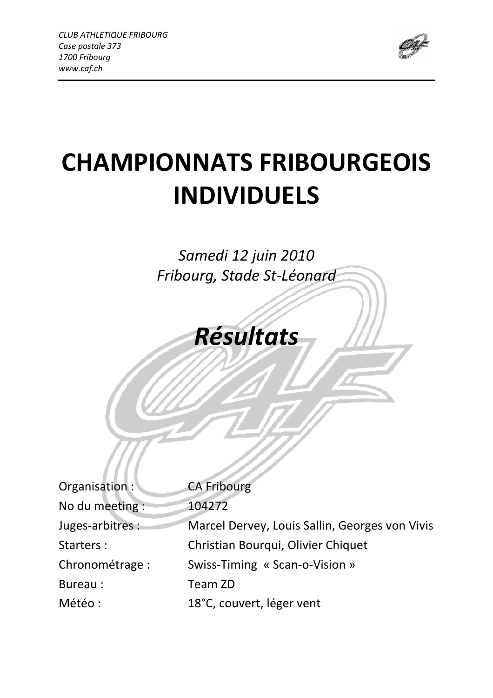

# CHAMPIONNATS FRIBOURGEOIS INDIVIDUELS

## Samedi 12 juin 2010 Fribourg, Stade St-Léonard

Résultats

| Organisation:    | <b>CA Fribourg</b>                             |
|------------------|------------------------------------------------|
| No du meeting :  | 104272                                         |
| Juges-arbitres : | Marcel Dervey, Louis Sallin, Georges von Vivis |
| Starters:        | Christian Bourqui, Olivier Chiquet             |
| Chronométrage :  | Swiss-Timing « Scan-o-Vision »                 |
| Bureau:          | Team ZD                                        |
| Météo :          | 18°C, couvert, léger vent                      |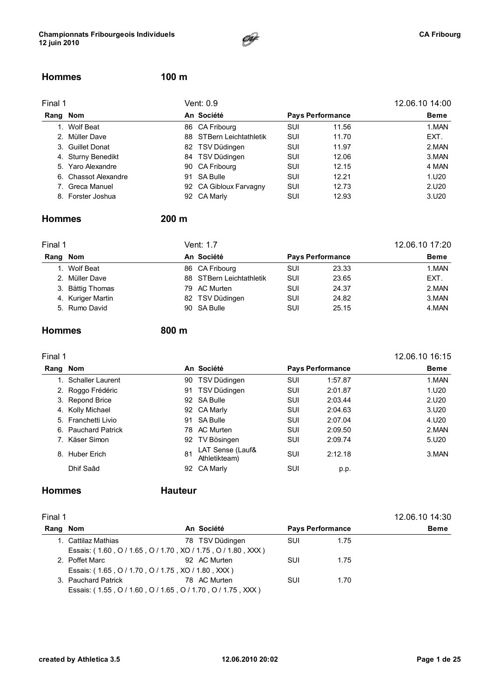

#### Hommes 100 m

| Final 1  |                      | Vent: 0.9                | 12.06.10 14:00 |                         |             |
|----------|----------------------|--------------------------|----------------|-------------------------|-------------|
| Rang Nom |                      | An Société               |                | <b>Pays Performance</b> | <b>Beme</b> |
|          | 1. Wolf Beat         | 86 CA Fribourg           | SUI            | 11.56                   | 1.MAN       |
|          | 2. Müller Dave       | 88 STBern Leichtathletik | SUI            | 11.70                   | EXT.        |
|          | 3. Guillet Donat     | 82 TSV Düdingen          | SUI            | 11.97                   | 2.MAN       |
|          | 4. Sturny Benedikt   | 84 TSV Düdingen          | <b>SUI</b>     | 12.06                   | 3.MAN       |
|          | 5. Yaro Alexandre    | 90 CA Fribourg           | SUI            | 12.15                   | 4 MAN       |
|          | 6. Chassot Alexandre | 91 SA Bulle              | SUI            | 12.21                   | 1.U20       |
|          | 7. Greca Manuel      | 92 CA Gibloux Farvagny   | SUI            | 12.73                   | 2.U20       |
|          | 8. Forster Joshua    | 92 CA Marly              | SUI            | 12.93                   | 3.U20       |
|          |                      |                          |                |                         |             |

#### Hommes 200 m

| Final 1 |                   |  | Vent: 1.7                | 12.06.10 17:20 |                         |             |
|---------|-------------------|--|--------------------------|----------------|-------------------------|-------------|
|         | Rang Nom          |  | An Société               |                | <b>Pays Performance</b> | <b>Beme</b> |
|         | 1. Wolf Beat      |  | 86 CA Fribourg           | SUI            | 23.33                   | 1.MAN       |
|         | 2. Müller Dave    |  | 88 STBern Leichtathletik | SUI            | 23.65                   | EXT.        |
|         | 3. Bättig Thomas  |  | 79 AC Murten             | SUI            | 24.37                   | 2.MAN       |
|         | 4. Kuriger Martin |  | 82 TSV Düdingen          | SUI            | 24.82                   | 3.MAN       |
|         | 5. Rumo David     |  | 90 SA Bulle              | SUI            | 25.15                   | 4.MAN       |

#### Hommes 800 m

| Final 1 |                     |     |                                   |     |                         | 12.06.10 16:15 |
|---------|---------------------|-----|-----------------------------------|-----|-------------------------|----------------|
| Rang    | Nom                 |     | An Société                        |     | <b>Pays Performance</b> | <b>Beme</b>    |
|         | 1. Schaller Laurent | 90  | TSV Düdingen                      | SUI | 1:57.87                 | 1.MAN          |
|         | 2. Roggo Frédéric   | 91  | TSV Düdingen                      | SUI | 2:01.87                 | 1.U20          |
|         | 3. Repond Brice     |     | 92 SA Bulle                       | SUI | 2:03.44                 | 2.U20          |
|         | 4. Kolly Michael    |     | 92 CA Marly                       | SUI | 2:04.63                 | 3.020          |
|         | 5. Franchetti Livio | 91  | SA Bulle                          | SUI | 2:07.04                 | 4.U20          |
|         | 6. Pauchard Patrick | 78. | AC Murten                         | SUI | 2:09.50                 | 2.MAN          |
|         | 7. Käser Simon      | 92  | TV Bösingen                       | SUI | 2:09.74                 | 5.U20          |
|         | 8. Huber Erich      | 81  | LAT Sense (Lauf&<br>Athletikteam) | SUI | 2:12.18                 | 3.MAN          |
|         | Dhif Saâd           | 92  | <b>CA Marly</b>                   | SUI | p.p.                    |                |

### Hommes Hauteur

| Final 1 |                                                              |                 |            |                         | 12.06.10 14:30 |
|---------|--------------------------------------------------------------|-----------------|------------|-------------------------|----------------|
| Rang    | Nom                                                          | An Société      |            | <b>Pays Performance</b> | <b>Beme</b>    |
|         | 1. Cattilaz Mathias                                          | 78 TSV Düdingen | <b>SUI</b> | 1.75                    |                |
|         | Essais: (1.60, O / 1.65, O / 1.70, XO / 1.75, O / 1.80, XXX) |                 |            |                         |                |
|         | 2. Poffet Marc                                               | 92 AC Murten    | SUI        | 1.75                    |                |
|         | Essais: (1.65, O / 1.70, O / 1.75, XO / 1.80, XXX)           |                 |            |                         |                |
|         | 3. Pauchard Patrick                                          | 78 AC Murten    | SUI        | 1.70                    |                |
|         | Essais: (1.55, O / 1.60, O / 1.65, O / 1.70, O / 1.75, XXX)  |                 |            |                         |                |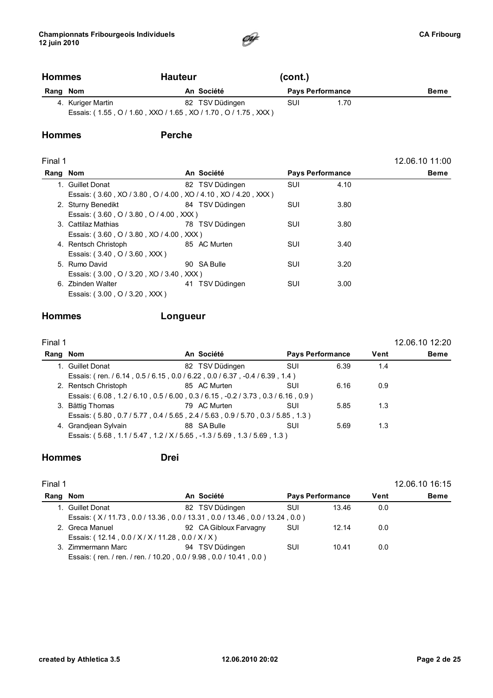

### Hommes Hauteur (cont.) Rang Nom **An Société** Pays Performance Beme 4. Kuriger Martin **82 TSV Düdingen** SUI 1.70 Essais: ( 1.55 , O / 1.60 , XXO / 1.65 , XO / 1.70 , O / 1.75 , XXX )

#### Hommes Perche

#### Final 1 12.06.10 11:00

| Rang Nom |                                                                | An Société      | <b>Pays Performance</b> |      | Beme |
|----------|----------------------------------------------------------------|-----------------|-------------------------|------|------|
|          | 1. Guillet Donat                                               | 82 TSV Düdingen | SUI                     | 4.10 |      |
|          | Essais: (3.60, XO / 3.80, O / 4.00, XO / 4.10, XO / 4.20, XXX) |                 |                         |      |      |
|          | 2. Sturny Benedikt                                             | 84 TSV Düdingen | SUI                     | 3.80 |      |
|          | Essais: (3.60, O / 3.80, O / 4.00, XXX)                        |                 |                         |      |      |
|          | 3. Cattilaz Mathias                                            | 78 TSV Düdingen | SUI                     | 3.80 |      |
|          | Essais: (3.60, O / 3.80, XO / 4.00, XXX)                       |                 |                         |      |      |
|          | 4. Rentsch Christoph                                           | 85 AC Murten    | SUI                     | 3.40 |      |
|          | Essais: (3.40, O / 3.60, XXX)                                  |                 |                         |      |      |
|          | 5. Rumo David                                                  | 90 SA Bulle     | SUI                     | 3.20 |      |
|          | Essais: (3.00, O / 3.20, XO / 3.40, XXX)                       |                 |                         |      |      |
|          | 6. Zbinden Walter                                              | 41 TSV Düdingen | SUI                     | 3.00 |      |
|          | Essais: (3.00, O / 3.20, XXX)                                  |                 |                         |      |      |

### Hommes Longueur

| Final 1 |                                                                        |                 |                         |      |      | 12.06.10 12:20 |
|---------|------------------------------------------------------------------------|-----------------|-------------------------|------|------|----------------|
| Rang    | Nom                                                                    | An Société      | <b>Pays Performance</b> |      | Vent | <b>Beme</b>    |
|         | 1. Guillet Donat                                                       | 82 TSV Düdingen | SUI                     | 6.39 | 1.4  |                |
|         | Essais: (ren. / 6.14, 0.5/6.15, 0.0/6.22, 0.0/6.37, -0.4/6.39, 1.4)    |                 |                         |      |      |                |
|         | 2. Rentsch Christoph                                                   | 85 AC Murten    | SUI                     | 6.16 | 0.9  |                |
|         | Essais: (6.08, 1.2/6.10, 0.5/6.00, 0.3/6.15, -0.2/3.73, 0.3/6.16, 0.9) |                 |                         |      |      |                |
|         | 3. Bättig Thomas                                                       | 79 AC Murten    | SUI                     | 5.85 | 1.3  |                |
|         | Essais: (5.80, 0.7/5.77, 0.4/5.65, 2.4/5.63, 0.9/5.70, 0.3/5.85, 1.3)  |                 |                         |      |      |                |
|         | 4. Grandiean Sylvain                                                   | 88 SA Bulle     | SUI                     | 5.69 | 1.3  |                |
|         | Essais: (5.68, 1.1/5.47, 1.2/X/5.65, -1.3/5.69, 1.3/5.69, 1.3)         |                 |                         |      |      |                |

#### Hommes Drei

| Final 1  |                                                   |                                                                    |     |                         |      | 12.06.10 16:15 |
|----------|---------------------------------------------------|--------------------------------------------------------------------|-----|-------------------------|------|----------------|
| Rang Nom |                                                   | An Société                                                         |     | <b>Pays Performance</b> | Vent | <b>Beme</b>    |
|          | 1. Guillet Donat                                  | 82 TSV Düdingen                                                    | SUI | 13.46                   | 0.0  |                |
|          |                                                   | Essais: (X/11.73, 0.0/13.36, 0.0/13.31, 0.0/13.46, 0.0/13.24, 0.0) |     |                         |      |                |
|          | 2. Greca Manuel                                   | 92 CA Gibloux Farvagny                                             | SUI | 12.14                   | 0.0  |                |
|          | Essais: (12.14, 0.0 / X / X / 11.28, 0.0 / X / X) |                                                                    |     |                         |      |                |
|          | 3. Zimmermann Marc                                | 94 TSV Düdingen                                                    | SUI | 10.41                   | 0.0  |                |
|          |                                                   | Essais: (ren. / ren. / ren. / 10.20, 0.0 / 9.98, 0.0 / 10.41, 0.0) |     |                         |      |                |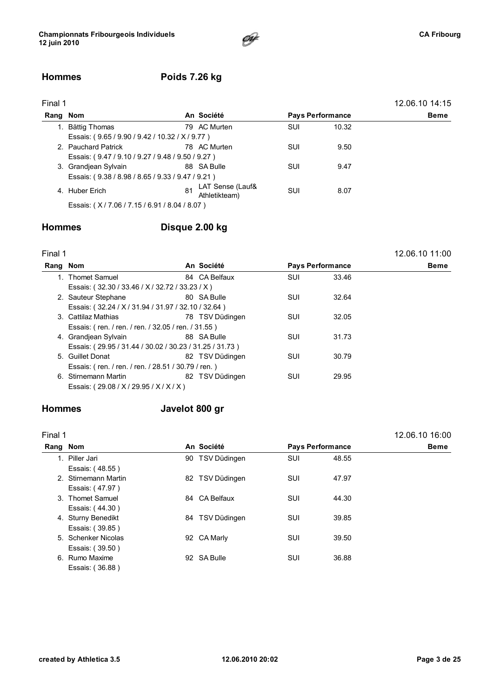

### Hommes Poids 7.26 kg

| Final 1  |                                                   |    |                                   |            |                         | 12.06.10 14:15 |
|----------|---------------------------------------------------|----|-----------------------------------|------------|-------------------------|----------------|
| Rang Nom |                                                   |    | An Société                        |            | <b>Pays Performance</b> | <b>Beme</b>    |
|          | 1. Bättig Thomas                                  |    | 79 AC Murten                      | <b>SUI</b> | 10.32                   |                |
|          | Essais: (9.65/9.90/9.42/10.32/X/9.77)             |    |                                   |            |                         |                |
|          | 2. Pauchard Patrick                               |    | 78 AC Murten                      | SUI        | 9.50                    |                |
|          | Essais: (9.47 / 9.10 / 9.27 / 9.48 / 9.50 / 9.27) |    |                                   |            |                         |                |
|          | 3. Grandjean Sylvain                              |    | 88 SA Bulle                       | SUI        | 9.47                    |                |
|          | Essais: (9.38 / 8.98 / 8.65 / 9.33 / 9.47 / 9.21) |    |                                   |            |                         |                |
|          | 4. Huber Erich                                    | 81 | LAT Sense (Lauf&<br>Athletikteam) | SUI        | 8.07                    |                |
|          | Essais: (X/7.06/7.15/6.91/8.04/8.07)              |    |                                   |            |                         |                |

### Hommes Disque 2.00 kg

| Final 1  |                                                         |                 |            |                         | 12.06.10 11:00 |
|----------|---------------------------------------------------------|-----------------|------------|-------------------------|----------------|
| Rang Nom |                                                         | An Société      |            | <b>Pays Performance</b> | <b>Beme</b>    |
|          | 1. Thomet Samuel                                        | 84 CA Belfaux   | SUI        | 33.46                   |                |
|          | Essais: (32.30 / 33.46 / X / 32.72 / 33.23 / X)         |                 |            |                         |                |
|          | 2. Sauteur Stephane                                     | 80 SA Bulle     | <b>SUI</b> | 32.64                   |                |
|          | Essais: (32.24 / X / 31.94 / 31.97 / 32.10 / 32.64)     |                 |            |                         |                |
|          | 3. Cattilaz Mathias                                     | 78 TSV Düdingen | SUI        | 32.05                   |                |
|          | Essais: (ren. / ren. / ren. / 32.05 / ren. / 31.55)     |                 |            |                         |                |
|          | 4. Grandjean Sylvain                                    | 88 SA Bulle     | SUI        | 31.73                   |                |
|          | Essais: (29.95 / 31.44 / 30.02 / 30.23 / 31.25 / 31.73) |                 |            |                         |                |
|          | 5. Guillet Donat                                        | 82 TSV Düdingen | <b>SUI</b> | 30.79                   |                |
|          | Essais: (ren. / ren. / ren. / 28.51 / 30.79 / ren.)     |                 |            |                         |                |
|          | 6. Stirnemann Martin                                    | 82 TSV Düdingen | <b>SUI</b> | 29.95                   |                |
|          | Essais: (29.08 / X / 29.95 / X / X / X)                 |                 |            |                         |                |
|          |                                                         |                 |            |                         |                |

### Hommes Javelot 800 gr

| Final 1  |                      |                 |            |                         | 12.06.10 16:00 |
|----------|----------------------|-----------------|------------|-------------------------|----------------|
| Rang Nom |                      | An Société      |            | <b>Pays Performance</b> | <b>Beme</b>    |
|          | 1. Piller Jari       | 90 TSV Düdingen | <b>SUI</b> | 48.55                   |                |
|          | Essais: (48.55)      |                 |            |                         |                |
|          | 2. Stirnemann Martin | 82 TSV Düdingen | <b>SUI</b> | 47.97                   |                |
|          | Essais: (47.97)      |                 |            |                         |                |
|          | 3. Thomet Samuel     | 84 CA Belfaux   | SUI        | 44.30                   |                |
|          | Essais: (44.30)      |                 |            |                         |                |
|          | 4. Sturny Benedikt   | 84 TSV Düdingen | SUI        | 39.85                   |                |
|          | Essais: (39.85)      |                 |            |                         |                |
|          | 5. Schenker Nicolas  | 92 CA Marly     | SUI        | 39.50                   |                |
|          | Essais: (39.50)      |                 |            |                         |                |
|          | 6. Rumo Maxime       | 92 SA Bulle     | SUI        | 36.88                   |                |
|          | Essais: (36.88)      |                 |            |                         |                |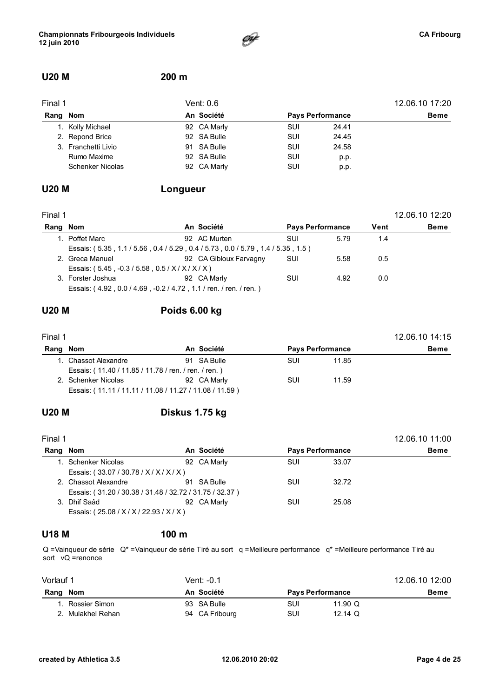

### U20 M 200 m

| Final 1 |                         | Vent: 0.6                             | 12.06.10 17:20 |       |             |
|---------|-------------------------|---------------------------------------|----------------|-------|-------------|
|         | Rang Nom                | An Société<br><b>Pays Performance</b> |                |       | <b>Beme</b> |
|         | 1. Kolly Michael        | 92 CA Marly                           | SUI            | 24.41 |             |
|         | 2. Repond Brice         | 92 SA Bulle                           | SUI            | 24.45 |             |
|         | 3. Franchetti Livio     | 91 SA Bulle                           | SUI            | 24.58 |             |
|         | Rumo Maxime             | 92 SA Bulle                           | SUI            | p.p.  |             |
|         | <b>Schenker Nicolas</b> | 92 CA Marly                           | SUI            | p.p.  |             |

### U20 M Longueur

| Final 1  |                                                                       |                        |                         |      |      | 12.06.10 12:20 |
|----------|-----------------------------------------------------------------------|------------------------|-------------------------|------|------|----------------|
| Rang Nom |                                                                       | An Société             | <b>Pays Performance</b> |      | Vent | Beme           |
|          | 1. Poffet Marc                                                        | 92 AC Murten           | SUI                     | 5.79 | 1.4  |                |
|          | Essais: (5.35, 1.1/5.56, 0.4/5.29, 0.4/5.73, 0.0/5.79, 1.4/5.35, 1.5) |                        |                         |      |      |                |
|          | 2. Greca Manuel                                                       | 92 CA Gibloux Farvagny | SUI                     | 5.58 | 0.5  |                |
|          | Essais: $(5.45, -0.3/5.58, 0.5/ X/ X/ X)$                             |                        |                         |      |      |                |
|          | 3. Forster Joshua                                                     | 92 CA Marly            | SUI                     | 4.92 | 0.0  |                |
|          | Essais: (4.92, 0.0/4.69, -0.2/4.72, 1.1/ren./ren./ren.)               |                        |                         |      |      |                |

### U20 M Poids 6.00 kg

| Final 1  |                                                         |             |     | 12.06.10 14:15          |             |
|----------|---------------------------------------------------------|-------------|-----|-------------------------|-------------|
| Rang Nom |                                                         | An Société  |     | <b>Pays Performance</b> | <b>Beme</b> |
|          | 1. Chassot Alexandre                                    | 91 SA Bulle | SUI | 11.85                   |             |
|          | Essais: (11.40 / 11.85 / 11.78 / ren. / ren. / ren.)    |             |     |                         |             |
|          | 2. Schenker Nicolas                                     | 92 CA Marly | SUI | 11.59                   |             |
|          | Essais: (11.11 / 11.11 / 11.08 / 11.27 / 11.08 / 11.59) |             |     |                         |             |

### U20 M Diskus 1.75 kg

| Final 1  |                                                         |             |     |                         | 12.06.10 11:00 |
|----------|---------------------------------------------------------|-------------|-----|-------------------------|----------------|
| Rang Nom |                                                         | An Société  |     | <b>Pays Performance</b> | <b>Beme</b>    |
|          | 1. Schenker Nicolas                                     | 92 CA Marly | SUI | 33.07                   |                |
|          | Essais: (33.07/30.78/X/X/X/X)                           |             |     |                         |                |
|          | 2. Chassot Alexandre                                    | 91 SA Bulle | SUI | 32.72                   |                |
|          | Essais: (31.20 / 30.38 / 31.48 / 32.72 / 31.75 / 32.37) |             |     |                         |                |
|          | 3. Dhif Saâd                                            | 92 CA Marly | SUI | 25.08                   |                |
|          | Essais: (25.08 / X / X / 22.93 / X / X)                 |             |     |                         |                |

#### U18 M 100 m

Q =Vainqueur de série Q\* =Vainqueur de série Tiré au sort q =Meilleure performance q\* =Meilleure performance Tiré au sort vQ =renonce

| Vorlauf 1       | Vent: -0.1     |                         |             |  |  |  |
|-----------------|----------------|-------------------------|-------------|--|--|--|
| Rang Nom        | An Société     | <b>Pays Performance</b> | <b>Beme</b> |  |  |  |
| . Rossier Simon | 93 SA Bulle    | SUI<br>11.90 $\Omega$   |             |  |  |  |
| Mulakhel Rehan  | 94 CA Fribourg | SUI<br>12.14 $\Omega$   |             |  |  |  |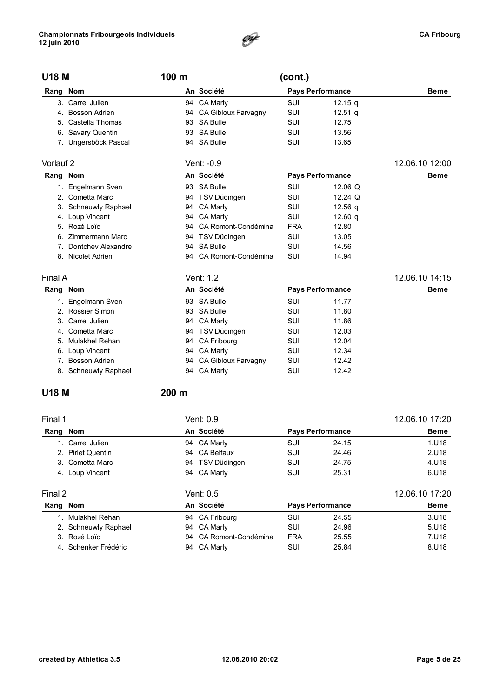

| <b>U18 M</b>   |                       | 100 m |                     | (cont.)    |                         |                |
|----------------|-----------------------|-------|---------------------|------------|-------------------------|----------------|
| Rang Nom       |                       |       | An Société          |            | <b>Pays Performance</b> | <b>Beme</b>    |
|                | 3. Carrel Julien      |       | 94 CA Marly         | <b>SUI</b> | 12.15 $q$               |                |
|                | 4. Bosson Adrien      | 94    | CA Gibloux Farvagny | <b>SUI</b> | $12.51$ q               |                |
| 5.             | Castella Thomas       | 93    | <b>SA Bulle</b>     | <b>SUI</b> | 12.75                   |                |
| 6.             | Savary Quentin        | 93    | <b>SA Bulle</b>     | SUI        | 13.56                   |                |
|                | 7. Ungersböck Pascal  |       | 94 SA Bulle         | SUI        | 13.65                   |                |
| Vorlauf 2      |                       |       | Vent: $-0.9$        |            |                         | 12.06.10 12:00 |
| Rang Nom       |                       |       | An Société          |            | <b>Pays Performance</b> | <b>Beme</b>    |
|                | 1. Engelmann Sven     | 93    | <b>SA Bulle</b>     | <b>SUI</b> | 12.06 $Q$               |                |
| 2 <sup>1</sup> | Cometta Marc          | 94    | TSV Düdingen        | SUI        | 12.24 Q                 |                |
| 3.             | Schneuwly Raphael     | 94    | CA Marly            | SUI        | 12.56 <sub>a</sub>      |                |
| 4.             | Loup Vincent          | 94    | <b>CA Marly</b>     | SUI        | 12.60 <sub>a</sub>      |                |
| 5.             | Rozé Loïc             | 94    | CA Romont-Condémina | <b>FRA</b> | 12.80                   |                |
| 6.             | Zimmermann Marc       |       | 94 TSV Düdingen     | SUI        | 13.05                   |                |
| 7.             | Dontchey Alexandre    | 94    | <b>SA Bulle</b>     | SUI        | 14.56                   |                |
|                | 8. Nicolet Adrien     | 94    | CA Romont-Condémina | SUI        | 14.94                   |                |
| Final A        |                       |       | Vent: 1.2           |            |                         | 12.06.10 14:15 |
| Rang Nom       |                       |       | An Société          |            | <b>Pays Performance</b> | <b>Beme</b>    |
|                | 1. Engelmann Sven     |       | 93 SA Bulle         | <b>SUI</b> | 11.77                   |                |
|                | 2. Rossier Simon      | 93    | <b>SA Bulle</b>     | SUI        | 11.80                   |                |
| 3.             | Carrel Julien         | 94    | CA Marly            | SUI        | 11.86                   |                |
| 4.             | Cometta Marc          |       | 94 TSV Düdingen     | SUI        | 12.03                   |                |
| 5.             | <b>Mulakhel Rehan</b> | 94    | CA Fribourg         | <b>SUI</b> | 12.04                   |                |
| 6.             | Loup Vincent          | 94    | <b>CA Marly</b>     | SUI        | 12.34                   |                |
| $7_{-}$        | Bosson Adrien         | 94    | CA Gibloux Farvagny | SUI        | 12.42                   |                |
|                | 8. Schneuwly Raphael  |       | 94 CA Marly         | SUI        | 12.42                   |                |
|                |                       |       |                     |            |                         |                |

#### U18 M 200 m

| Final 1  |                      | Vent: 0.9              |            |                         | 12.06.10 17:20 |
|----------|----------------------|------------------------|------------|-------------------------|----------------|
| Rang     | Nom                  | An Société             |            | <b>Pays Performance</b> | <b>Beme</b>    |
|          | 1. Carrel Julien     | 94 CA Marly            | <b>SUI</b> | 24.15                   | 1.U18          |
|          | 2. Pirlet Quentin    | 94 CA Belfaux          | SUI        | 24.46                   | 2.U18          |
|          | 3. Cometta Marc      | 94 TSV Düdingen        | SUI        | 24.75                   | 4.U18          |
|          | 4. Loup Vincent      | 94 CA Marly            | <b>SUI</b> | 25.31                   | 6.U18          |
| Final 2  |                      | Vent: 0.5              |            |                         | 12.06.10 17:20 |
| Rang Nom |                      | An Société             |            | <b>Pays Performance</b> | <b>Beme</b>    |
|          | 1. Mulakhel Rehan    | 94 CA Fribourg         | <b>SUI</b> | 24.55                   | 3.018          |
|          | 2. Schneuwly Raphael | 94 CA Marly            | SUI        | 24.96                   | 5.U18          |
|          | 3. Rozé Loïc         | 94 CA Romont-Condémina | <b>FRA</b> | 25.55                   | 7.U18          |
|          | 4. Schenker Frédéric | 94 CA Marly            | SUI        | 25.84                   | 8.U18          |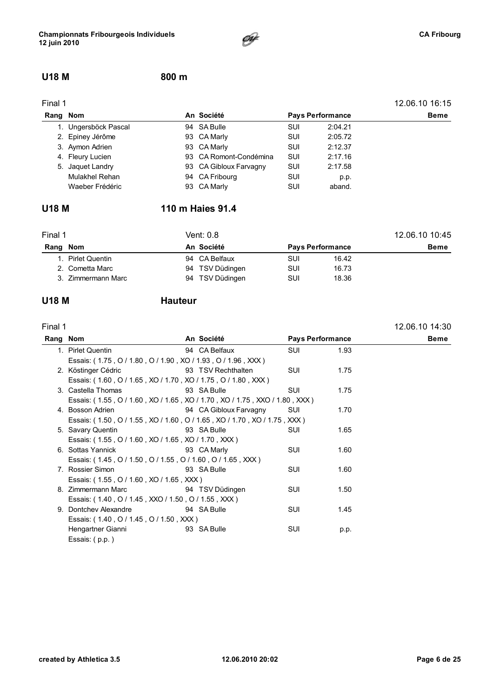

#### U18 M 800 m

| Final 1  |                      |                        |            |                         | 12.06.10 16:15 |
|----------|----------------------|------------------------|------------|-------------------------|----------------|
| Rang Nom |                      | An Société             |            | <b>Pays Performance</b> | Beme           |
|          | 1. Ungersböck Pascal | 94 SA Bulle            | SUI        | 2:04.21                 |                |
|          | 2. Epiney Jérôme     | 93 CA Marly            | SUI        | 2:05.72                 |                |
|          | 3. Aymon Adrien      | 93 CA Marly            | <b>SUI</b> | 2:12.37                 |                |
|          | 4. Fleury Lucien     | 93 CA Romont-Condémina | SUI        | 2:17.16                 |                |
|          | 5. Jaquet Landry     | 93 CA Gibloux Farvagny | SUI        | 2:17.58                 |                |
|          | Mulakhel Rehan       | 94 CA Fribourg         | SUI        | p.p.                    |                |
|          | Waeber Frédéric      | 93 CA Marly            | SUI        | aband.                  |                |

### U18 M 110 m Haies 91.4

| Final 1  |                    | Vent: 0.8       | 12.06.10 10:45          |       |             |
|----------|--------------------|-----------------|-------------------------|-------|-------------|
| Rang Nom |                    | An Société      | <b>Pays Performance</b> |       | <b>Beme</b> |
|          | 1. Pirlet Quentin  | 94 CA Belfaux   | SUI                     | 16.42 |             |
|          | 2. Cometta Marc    | 94 TSV Düdingen | SUI                     | 16.73 |             |
|          | 3. Zimmermann Marc | 94 TSV Düdingen | SUI                     | 18.36 |             |

#### U18 M **Hauteur**

| Final 1               |                        |                                                                                                                                                                                                                                                                                                                                                                                                   |                                                                                                                                                        |                                                          |
|-----------------------|------------------------|---------------------------------------------------------------------------------------------------------------------------------------------------------------------------------------------------------------------------------------------------------------------------------------------------------------------------------------------------------------------------------------------------|--------------------------------------------------------------------------------------------------------------------------------------------------------|----------------------------------------------------------|
| Rang Nom              | An Société             |                                                                                                                                                                                                                                                                                                                                                                                                   |                                                                                                                                                        |                                                          |
| 1. Pirlet Quentin     | 94 CA Belfaux          | SUI                                                                                                                                                                                                                                                                                                                                                                                               | 1.93                                                                                                                                                   |                                                          |
|                       |                        |                                                                                                                                                                                                                                                                                                                                                                                                   |                                                                                                                                                        |                                                          |
| 2. Köstinger Cédric   | 93 TSV Rechthalten     | SUI                                                                                                                                                                                                                                                                                                                                                                                               | 1.75                                                                                                                                                   |                                                          |
|                       |                        |                                                                                                                                                                                                                                                                                                                                                                                                   |                                                                                                                                                        |                                                          |
| 3. Castella Thomas    | 93 SA Bulle            | SUI                                                                                                                                                                                                                                                                                                                                                                                               | 1.75                                                                                                                                                   |                                                          |
|                       |                        |                                                                                                                                                                                                                                                                                                                                                                                                   |                                                                                                                                                        |                                                          |
| 4. Bosson Adrien      | 94 CA Gibloux Farvagny | SUI                                                                                                                                                                                                                                                                                                                                                                                               | 1.70                                                                                                                                                   |                                                          |
|                       |                        |                                                                                                                                                                                                                                                                                                                                                                                                   |                                                                                                                                                        |                                                          |
| 5. Savary Quentin     | 93 SA Bulle            | SUI                                                                                                                                                                                                                                                                                                                                                                                               | 1.65                                                                                                                                                   |                                                          |
|                       |                        |                                                                                                                                                                                                                                                                                                                                                                                                   |                                                                                                                                                        |                                                          |
| 6. Sottas Yannick     | 93 CA Marly            | <b>SUI</b>                                                                                                                                                                                                                                                                                                                                                                                        | 1.60                                                                                                                                                   |                                                          |
|                       |                        |                                                                                                                                                                                                                                                                                                                                                                                                   |                                                                                                                                                        |                                                          |
| 7. Rossier Simon      | 93 SA Bulle            | <b>SUI</b>                                                                                                                                                                                                                                                                                                                                                                                        | 1.60                                                                                                                                                   |                                                          |
|                       |                        |                                                                                                                                                                                                                                                                                                                                                                                                   |                                                                                                                                                        |                                                          |
| 8. Zimmermann Marc    | 94 TSV Düdingen        | SUI                                                                                                                                                                                                                                                                                                                                                                                               | 1.50                                                                                                                                                   |                                                          |
|                       |                        |                                                                                                                                                                                                                                                                                                                                                                                                   |                                                                                                                                                        |                                                          |
| 9. Dontchey Alexandre | 94 SA Bulle            | SUI                                                                                                                                                                                                                                                                                                                                                                                               | 1.45                                                                                                                                                   |                                                          |
|                       |                        |                                                                                                                                                                                                                                                                                                                                                                                                   |                                                                                                                                                        |                                                          |
| Hengartner Gianni     | 93 SA Bulle            | SUI                                                                                                                                                                                                                                                                                                                                                                                               | p.p.                                                                                                                                                   |                                                          |
| Essais: $(p.p.)$      |                        |                                                                                                                                                                                                                                                                                                                                                                                                   |                                                                                                                                                        |                                                          |
|                       |                        | Essais: (1.75, O / 1.80, O / 1.90, XO / 1.93, O / 1.96, XXX)<br>Essais: (1.60, O / 1.65, XO / 1.70, XO / 1.75, O / 1.80, XXX)<br>Essais: (1.55, O / 1.60, XO / 1.65, XO / 1.70, XXX)<br>Essais: (1.45, O / 1.50, O / 1.55, O / 1.60, O / 1.65, XXX)<br>Essais: (1.55, O / 1.60, XO / 1.65, XXX)<br>Essais: (1.40, O / 1.45, XXO / 1.50, O / 1.55, XXX)<br>Essais: (1.40, O / 1.45, O / 1.50, XXX) | Essais: (1.55, O / 1.60, XO / 1.65, XO / 1.70, XO / 1.75, XXO / 1.80, XXX)<br>Essais: (1.50, O / 1.55, XO / 1.60, O / 1.65, XO / 1.70, XO / 1.75, XXX) | 12.06.10 14:30<br><b>Pays Performance</b><br><b>Beme</b> |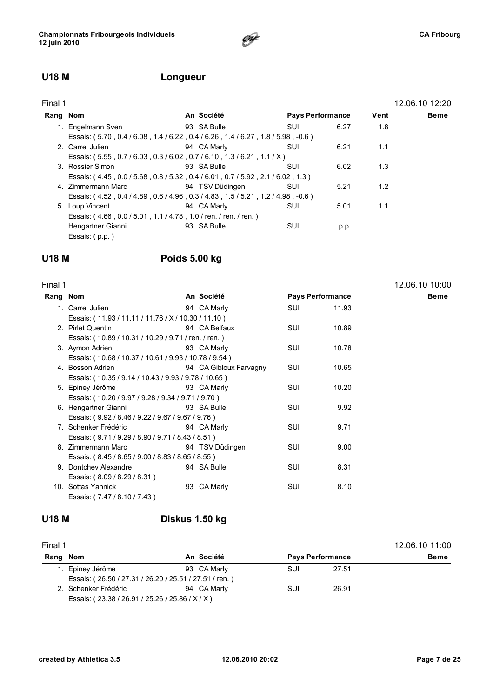### U18 M Longueur

| Final 1  |                                                                                  |                 |                         |      | 12.06.10 12:20 |
|----------|----------------------------------------------------------------------------------|-----------------|-------------------------|------|----------------|
| Rang Nom |                                                                                  | An Société      | <b>Pays Performance</b> | Vent | Beme           |
|          | 1. Engelmann Sven                                                                | 93 SA Bulle     | 6.27<br>SUI             | 1.8  |                |
|          | Essais: (5.70, 0.4 / 6.08, 1.4 / 6.22, 0.4 / 6.26, 1.4 / 6.27, 1.8 / 5.98, -0.6) |                 |                         |      |                |
|          | 2. Carrel Julien                                                                 | 94 CA Marly     | <b>SUI</b><br>6.21      | 1.1  |                |
|          | Essais: (5.55, 0.7/6.03, 0.3/6.02, 0.7/6.10, 1.3/6.21, 1.1/X)                    |                 |                         |      |                |
|          | 3. Rossier Simon                                                                 | 93 SA Bulle     | SUI<br>6.02             | 1.3  |                |
|          | Essais: (4.45, 0.0 / 5.68, 0.8 / 5.32, 0.4 / 6.01, 0.7 / 5.92, 2.1 / 6.02, 1.3)  |                 |                         |      |                |
|          | 4. Zimmermann Marc                                                               | 94 TSV Düdingen | 5.21<br>SUI             | 1.2  |                |
|          | Essais: (4.52, 0.4 / 4.89, 0.6 / 4.96, 0.3 / 4.83, 1.5 / 5.21, 1.2 / 4.98, -0.6) |                 |                         |      |                |
|          | 5. Loup Vincent                                                                  | 94 CA Marly     | SUI<br>5.01             | 1.1  |                |
|          | Essais: (4.66, 0.0/5.01, 1.1/4.78, 1.0/ren./ren./ren.)                           |                 |                         |      |                |
|          | Hengartner Gianni                                                                | 93 SA Bulle     | SUI<br>p.p.             |      |                |
|          | Essais: (p.p.)                                                                   |                 |                         |      |                |

**CAF** 

#### U18 M Poids 5.00 kg

| Final 1  |                                                       |                        |            |                         | 12.06.10 10:00 |
|----------|-------------------------------------------------------|------------------------|------------|-------------------------|----------------|
| Rang Nom |                                                       | An Société             |            | <b>Pays Performance</b> | <b>Beme</b>    |
|          | 1. Carrel Julien                                      | 94 CA Marly            | <b>SUI</b> | 11.93                   |                |
|          | Essais: (11.93 / 11.11 / 11.76 / X / 10.30 / 11.10)   |                        |            |                         |                |
|          | 2. Pirlet Quentin                                     | 94 CA Belfaux          | <b>SUI</b> | 10.89                   |                |
|          | Essais: (10.89 / 10.31 / 10.29 / 9.71 / ren. / ren.)  |                        |            |                         |                |
|          | 3. Aymon Adrien                                       | 93 CA Marly            | <b>SUI</b> | 10.78                   |                |
|          | Essais: (10.68 / 10.37 / 10.61 / 9.93 / 10.78 / 9.54) |                        |            |                         |                |
|          | 4. Bosson Adrien                                      | 94 CA Gibloux Farvagny | SUI        | 10.65                   |                |
|          | Essais: (10.35 / 9.14 / 10.43 / 9.93 / 9.78 / 10.65)  |                        |            |                         |                |
|          | 5. Epiney Jérôme                                      | 93 CA Marly            | <b>SUI</b> | 10.20                   |                |
|          | Essais: (10.20 / 9.97 / 9.28 / 9.34 / 9.71 / 9.70)    |                        |            |                         |                |
|          | 6. Hengartner Gianni                                  | 93 SA Bulle            | <b>SUI</b> | 9.92                    |                |
|          | Essais: (9.92 / 8.46 / 9.22 / 9.67 / 9.67 / 9.76)     |                        |            |                         |                |
|          | 7. Schenker Frédéric                                  | 94 CA Marly            | <b>SUI</b> | 9.71                    |                |
|          | Essais: (9.71/9.29/8.90/9.71/8.43/8.51)               |                        |            |                         |                |
|          | 8. Zimmermann Marc                                    | 94 TSV Düdingen        | <b>SUI</b> | 9.00                    |                |
|          | Essais: (8.45/8.65/9.00/8.83/8.65/8.55)               |                        |            |                         |                |
|          | 9. Dontchey Alexandre                                 | 94 SA Bulle            | <b>SUI</b> | 8.31                    |                |
|          | Essais: (8.09 / 8.29 / 8.31)                          |                        |            |                         |                |
|          | 10. Sottas Yannick                                    | 93 CA Marly            | SUI        | 8.10                    |                |
|          | Essais: (7.47 / 8.10 / 7.43)                          |                        |            |                         |                |

### U18 M Diskus 1.50 kg

| Final 1  |                                                        |             |     |                         | 12.06.10 11:00 |
|----------|--------------------------------------------------------|-------------|-----|-------------------------|----------------|
| Rang Nom |                                                        | An Société  |     | <b>Pays Performance</b> | <b>Beme</b>    |
|          | 1. Epiney Jérôme                                       | 93 CA Marly | SUI | 27.51                   |                |
|          | Essais: (26.50 / 27.31 / 26.20 / 25.51 / 27.51 / ren.) |             |     |                         |                |
|          | 2. Schenker Frédéric                                   | 94 CA Marly | SUI | 26.91                   |                |
|          | Essais: (23.38 / 26.91 / 25.26 / 25.86 / X / X)        |             |     |                         |                |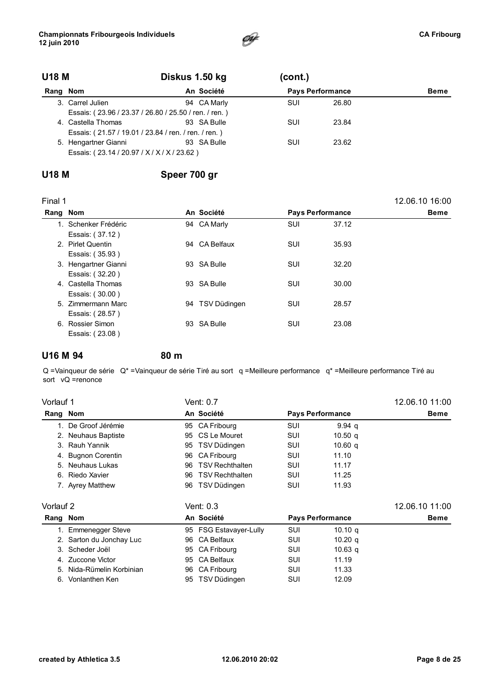

| <b>U18 M</b> |                                                       | Diskus 1.50 kg |             | (cont.) |                         |  |
|--------------|-------------------------------------------------------|----------------|-------------|---------|-------------------------|--|
| Rang Nom     |                                                       |                | An Société  |         | <b>Pays Performance</b> |  |
|              | 3. Carrel Julien                                      |                | 94 CA Marly | SUI     | 26.80                   |  |
|              | Essais: (23.96 / 23.37 / 26.80 / 25.50 / ren. / ren.) |                |             |         |                         |  |
|              | 4. Castella Thomas                                    |                | 93 SA Bulle | SUI     | 23.84                   |  |
|              | Essais: (21.57 / 19.01 / 23.84 / ren. / ren. / ren.)  |                |             |         |                         |  |
|              | 5. Hengartner Gianni                                  |                | 93 SA Bulle | SUI     | 23.62                   |  |
|              | Essais: (23.14 / 20.97 / X / X / X / 23.62)           |                |             |         |                         |  |

### U18 M Speer 700 gr

| Final 1  |                      |    |               |     |                         | 12.06.10 16:00 |
|----------|----------------------|----|---------------|-----|-------------------------|----------------|
| Rang Nom |                      |    | An Société    |     | <b>Pays Performance</b> | <b>Beme</b>    |
|          | 1. Schenker Frédéric |    | 94 CA Marly   | SUI | 37.12                   |                |
|          | Essais: (37.12)      |    |               |     |                         |                |
|          | 2. Pirlet Quentin    |    | 94 CA Belfaux | SUI | 35.93                   |                |
|          | Essais: (35.93)      |    |               |     |                         |                |
|          | 3. Hengartner Gianni |    | 93 SA Bulle   | SUI | 32.20                   |                |
|          | Essais: (32.20)      |    |               |     |                         |                |
|          | 4. Castella Thomas   |    | 93 SA Bulle   | SUI | 30.00                   |                |
|          | Essais: (30.00)      |    |               |     |                         |                |
|          | 5. Zimmermann Marc   | 94 | TSV Düdingen  | SUI | 28.57                   |                |
|          | Essais: (28.57)      |    |               |     |                         |                |
|          | 6. Rossier Simon     |    | 93 SA Bulle   | SUI | 23.08                   |                |
|          | Essais: (23.08)      |    |               |     |                         |                |

#### U16 M 94 80 m

Q =Vainqueur de série Q\* =Vainqueur de série Tiré au sort q =Meilleure performance q\* =Meilleure performance Tiré au sort vQ =renonce

| Vorlauf 1                 |    |                        |                                                                                                                                                  |                    | 12.06.10 11:00                                     |
|---------------------------|----|------------------------|--------------------------------------------------------------------------------------------------------------------------------------------------|--------------------|----------------------------------------------------|
| Rang Nom                  |    |                        |                                                                                                                                                  |                    | <b>Beme</b>                                        |
| 1. De Groof Jérémie       |    |                        | SUI                                                                                                                                              | 9.94 <sub>q</sub>  |                                                    |
| 2. Neuhaus Baptiste       | 95 | CS Le Mouret           | SUI                                                                                                                                              | 10.50 <sub>q</sub> |                                                    |
| 3. Rauh Yannik            | 95 |                        | SUI                                                                                                                                              | 10.60 <sub>a</sub> |                                                    |
| 4. Bugnon Corentin        | 96 | CA Fribourg            | SUI                                                                                                                                              | 11.10              |                                                    |
| 5. Neuhaus Lukas          | 96 | <b>TSV Rechthalten</b> | SUI                                                                                                                                              | 11.17              |                                                    |
| 6. Riedo Xavier           | 96 | <b>TSV Rechthalten</b> | SUI                                                                                                                                              | 11.25              |                                                    |
| 7. Ayrey Matthew          | 96 |                        | SUI                                                                                                                                              | 11.93              |                                                    |
| Vorlauf 2                 |    |                        |                                                                                                                                                  |                    | 12.06.10 11:00                                     |
| Rang Nom                  |    |                        |                                                                                                                                                  |                    | Beme                                               |
| 1. Emmenegger Steve       |    |                        | SUI                                                                                                                                              | 10.10 $q$          |                                                    |
| 2. Sarton du Jonchay Luc  | 96 | <b>CA Belfaux</b>      | SUI                                                                                                                                              | 10.20 <sub>a</sub> |                                                    |
| 3. Scheder Joël           | 95 | CA Fribourg            | SUI                                                                                                                                              | 10.63 <sub>q</sub> |                                                    |
| 4. Zuccone Victor         | 95 | <b>CA Belfaux</b>      | SUI                                                                                                                                              | 11.19              |                                                    |
| 5. Nida-Rümelin Korbinian |    |                        | SUI                                                                                                                                              | 11.33              |                                                    |
| 6. Vonlanthen Ken         | 95 | TSV Düdingen           | SUI                                                                                                                                              | 12.09              |                                                    |
|                           |    |                        | Vent: 0.7<br>An Société<br>95 CA Fribourg<br>TSV Düdingen<br>TSV Düdingen<br>Vent: 0.3<br>An Société<br>95 FSG Estavayer-Lully<br>96 CA Fribourg |                    | <b>Pays Performance</b><br><b>Pays Performance</b> |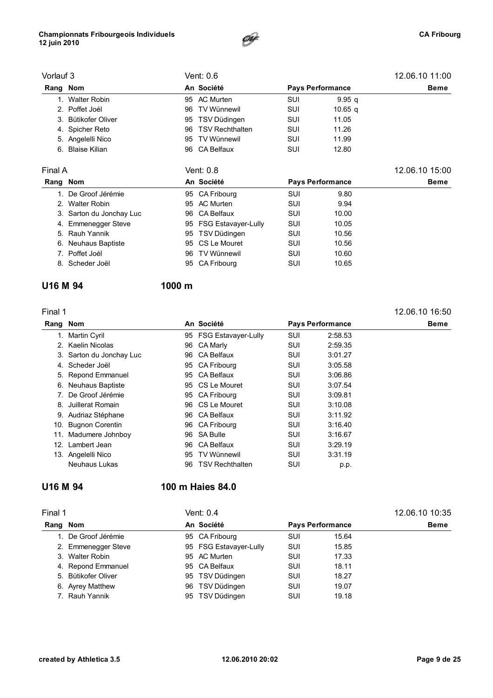#### Championnats Fribourgeois Individuels 12 juin 2010



| Vorlauf 3 |                          |    | Vent: 0.6              |     |                         | 12.06.10 11:00 |
|-----------|--------------------------|----|------------------------|-----|-------------------------|----------------|
| Rang Nom  |                          |    | An Société             |     | <b>Pays Performance</b> | Beme           |
|           | 1. Walter Robin          | 95 | AC Murten              | SUI | 9.95q                   |                |
|           | 2. Poffet Joél           | 96 | <b>TV Wünnewil</b>     | SUI | 10.65 <sub>q</sub>      |                |
|           | 3. Bütikofer Oliver      | 95 | TSV Düdingen           | SUI | 11.05                   |                |
|           | 4. Spicher Reto          | 96 | <b>TSV Rechthalten</b> | SUI | 11.26                   |                |
|           | 5. Angelelli Nico        | 95 | TV Wünnewil            | SUI | 11.99                   |                |
| 6.        | <b>Blaise Kilian</b>     | 96 | CA Belfaux             | SUI | 12.80                   |                |
| Final A   |                          |    | Vent: 0.8              |     |                         | 12.06.10 15:00 |
| Rang Nom  |                          |    | An Société             |     | <b>Pays Performance</b> | <b>Beme</b>    |
|           | 1. De Groof Jérémie      |    | 95 CA Fribourg         | SUI | 9.80                    |                |
|           | 2. Walter Robin          |    | 95 AC Murten           | SUI | 9.94                    |                |
|           | 3. Sarton du Jonchay Luc | 96 | CA Belfaux             | SUI | 10.00                   |                |
|           | 4. Emmenegger Steve      |    | 95 FSG Estavayer-Lully | SUI | 10.05                   |                |
| 5.        | Rauh Yannik              |    | 95 TSV Düdingen        | SUI | 10.56                   |                |
| 6.        | <b>Neuhaus Baptiste</b>  | 95 | CS Le Mouret           | SUI | 10.56                   |                |
|           | 7. Poffet Joél           | 96 | <b>TV Wünnewil</b>     | SUI | 10.60                   |                |
|           | 8. Scheder Joël          | 95 | CA Fribourg            | SUI | 10.65                   |                |
|           |                          |    |                        |     |                         |                |

#### U16 M 94 1000 m

| Final 1  |                          |    |                        |                         |         | 12.06.10 16:50 |
|----------|--------------------------|----|------------------------|-------------------------|---------|----------------|
| Rang Nom |                          |    | An Société             | <b>Pays Performance</b> |         | <b>Beme</b>    |
|          | 1. Martin Cyril          |    | 95 FSG Estavayer-Lully | SUI                     | 2:58.53 |                |
|          | 2. Kaelin Nicolas        | 96 | CA Marly               | SUI                     | 2:59.35 |                |
|          | 3. Sarton du Jonchay Luc | 96 | <b>CA Belfaux</b>      | SUI                     | 3:01.27 |                |
| 4.       | Scheder Joël             |    | 95 CA Fribourg         | SUI                     | 3:05.58 |                |
|          | 5. Repond Emmanuel       | 95 | <b>CA Belfaux</b>      | SUI                     | 3:06.86 |                |
|          | 6. Neuhaus Baptiste      |    | 95 CS Le Mouret        | SUI                     | 3:07.54 |                |
|          | 7. De Groof Jérémie      | 95 | CA Fribourg            | SUI                     | 3:09.81 |                |
| 8.       | Juillerat Romain         |    | 96 CS Le Mouret        | SUI                     | 3:10.08 |                |
|          | 9. Audriaz Stéphane      | 96 | CA Belfaux             | SUI                     | 3:11.92 |                |
|          | 10. Bugnon Corentin      |    | 96 CA Fribourg         | SUI                     | 3:16.40 |                |
| 11.      | Madumere Johnboy         | 96 | <b>SA Bulle</b>        | SUI                     | 3:16.67 |                |
|          | 12. Lambert Jean         | 96 | CA Belfaux             | <b>SUI</b>              | 3:29.19 |                |
|          | 13. Angelelli Nico       | 95 | TV Wünnewil            | SUI                     | 3:31.19 |                |
|          | Neuhaus Lukas            | 96 | <b>TSV Rechthalten</b> | SUI                     | p.p.    |                |

### U16 M 94 100 m Haies 84.0

| Final 1 |                     |                                       | Vent: 0.4              | 12.06.10 10:35 |             |  |
|---------|---------------------|---------------------------------------|------------------------|----------------|-------------|--|
| Rang    | Nom                 | An Société<br><b>Pays Performance</b> |                        |                | <b>Beme</b> |  |
|         | De Groof Jérémie    |                                       | 95 CA Fribourg         | SUI            | 15.64       |  |
|         | 2. Emmenegger Steve |                                       | 95 FSG Estavayer-Lully | SUI            | 15.85       |  |
|         | 3. Walter Robin     |                                       | 95 AC Murten           | SUI            | 17.33       |  |
|         | 4. Repond Emmanuel  |                                       | 95 CA Belfaux          | SUI            | 18.11       |  |
|         | 5. Bütikofer Oliver |                                       | 95 TSV Düdingen        | SUI            | 18.27       |  |
|         | 6. Ayrey Matthew    |                                       | 96 TSV Düdingen        | SUI            | 19.07       |  |
|         | 7. Rauh Yannik      |                                       | 95 TSV Düdingen        | SUI            | 19.18       |  |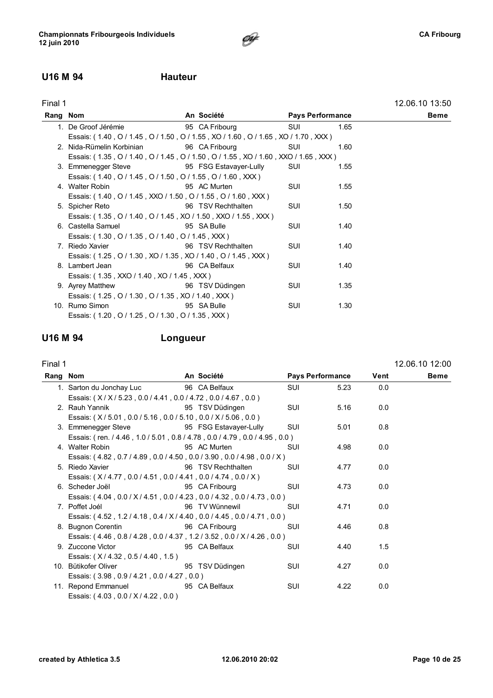#### U16 M 94 Hauteur

| Final 1  |                                                                                    |                        |                         |      | 12.06.10 13:50 |
|----------|------------------------------------------------------------------------------------|------------------------|-------------------------|------|----------------|
| Rang Nom |                                                                                    | An Société             | <b>Pays Performance</b> |      | <b>Beme</b>    |
|          | 1. De Groof Jérémie                                                                | 95 CA Fribourg         | SUI                     | 1.65 |                |
|          | Essais: (1.40, O / 1.45, O / 1.50, O / 1.55, XO / 1.60, O / 1.65, XO / 1.70, XXX)  |                        |                         |      |                |
|          | 2. Nida-Rümelin Korbinian                                                          | 96 CA Fribourg         | SUI                     | 1.60 |                |
|          | Essais: (1.35, O / 1.40, O / 1.45, O / 1.50, O / 1.55, XO / 1.60, XXO / 1.65, XXX) |                        |                         |      |                |
|          | 3. Emmenegger Steve                                                                | 95 FSG Estavayer-Lully | SUI                     | 1.55 |                |
|          | Essais: (1.40, O / 1.45, O / 1.50, O / 1.55, O / 1.60, XXX)                        |                        |                         |      |                |
|          | 4. Walter Robin                                                                    | 95 AC Murten           | SUI                     | 1.55 |                |
|          | Essais: (1.40, O / 1.45, XXO / 1.50, O / 1.55, O / 1.60, XXX)                      |                        |                         |      |                |
|          | 5. Spicher Reto                                                                    | 96 TSV Rechthalten     | SUI                     | 1.50 |                |
|          | Essais: (1.35, 0/1.40, 0/1.45, XO/1.50, XXO/1.55, XXX)                             |                        |                         |      |                |
|          | 6. Castella Samuel                                                                 | 95 SA Bulle            | <b>SUI</b>              | 1.40 |                |
|          | Essais: (1.30, O / 1.35, O / 1.40, O / 1.45, XXX)                                  |                        |                         |      |                |
|          | 7. Riedo Xavier                                                                    | 96 TSV Rechthalten     | SUI                     | 1.40 |                |
|          | Essais: (1.25, 0/1.30, XO/1.35, XO/1.40, 0/1.45, XXX)                              |                        |                         |      |                |
|          | 8. Lambert Jean                                                                    | 96 CA Belfaux          | <b>SUI</b>              | 1.40 |                |
|          | Essais: (1.35, XXO / 1.40, XO / 1.45, XXX)                                         |                        |                         |      |                |
|          | 9. Ayrey Matthew                                                                   | 96 TSV Düdingen        | SUI                     | 1.35 |                |
|          | Essais: (1.25, 0/1.30, 0/1.35, XO/1.40, XXX)                                       |                        |                         |      |                |
|          | 10. Rumo Simon                                                                     | 95 SA Bulle            | SUI                     | 1.30 |                |
|          | Essais: (1.20, O / 1.25, O / 1.30, O / 1.35, XXX)                                  |                        |                         |      |                |
|          |                                                                                    |                        |                         |      |                |

 $\mathscr{F}$ 

### U16 M 94 Longueur

#### Final 1 12.06.10 12:00

 $\overline{a}$ 

| Rang Nom |                                                                            | An Société         |            | <b>Pays Performance</b> | Vent | <b>Beme</b> |
|----------|----------------------------------------------------------------------------|--------------------|------------|-------------------------|------|-------------|
|          | 1. Sarton du Jonchay Luc                                                   | 96 CA Belfaux      | SUI        | 5.23                    | 0.0  |             |
|          | Essais: (X/X/5.23, 0.0/4.41, 0.0/4.72, 0.0/4.67, 0.0)                      |                    |            |                         |      |             |
|          | 2. Rauh Yannik                                                             | 95 TSV Düdingen    | <b>SUI</b> | 5.16                    | 0.0  |             |
|          | Essais: (X/5.01, 0.0/5.16, 0.0/5.10, 0.0/X/5.06, 0.0)                      |                    |            |                         |      |             |
|          | 3. Emmenegger Steve 95 FSG Estavayer-Lully                                 |                    | <b>SUI</b> | 5.01                    | 0.8  |             |
|          | Essais: (ren. / 4.46, 1.0 / 5.01, 0.8 / 4.78, 0.0 / 4.79, 0.0 / 4.95, 0.0) |                    |            |                         |      |             |
|          | 4. Walter Robin                                                            | 95 AC Murten       | <b>SUI</b> | 4.98                    | 0.0  |             |
|          | Essais: (4.82, 0.7/4.89, 0.0/4.50, 0.0/3.90, 0.0/4.98, 0.0/X)              |                    |            |                         |      |             |
|          | 5. Riedo Xavier                                                            | 96 TSV Rechthalten | <b>SUI</b> | 4.77                    | 0.0  |             |
|          | Essais: (X/4.77, 0.0/4.51, 0.0/4.41, 0.0/4.74, 0.0/X)                      |                    |            |                         |      |             |
|          | 6. Scheder Joël                                                            | 95 CA Fribourg     | <b>SUI</b> | 4.73                    | 0.0  |             |
|          | Essais: (4.04, 0.0 / X / 4.51, 0.0 / 4.23, 0.0 / 4.32, 0.0 / 4.73, 0.0)    |                    |            |                         |      |             |
|          | 7. Poffet Joél                                                             | 96 TV Wünnewil     | SUI        | 4.71                    | 0.0  |             |
|          | Essais: (4.52, 1.2/4.18, 0.4/X/4.40, 0.0/4.45, 0.0/4.71, 0.0)              |                    |            |                         |      |             |
|          | 8. Bugnon Corentin                                                         | 96 CA Fribourg     | <b>SUI</b> | 4.46                    | 0.8  |             |
|          | Essais: (4.46, 0.8/4.28, 0.0/4.37, 1.2/3.52, 0.0/X/4.26, 0.0)              |                    |            |                         |      |             |
|          | 9. Zuccone Victor                                                          | 95 CA Belfaux      | <b>SUI</b> | 4.40                    | 1.5  |             |
|          | Essais: (X/4.32, 0.5/4.40, 1.5)                                            |                    |            |                         |      |             |
|          | 10. Bütikofer Oliver                                                       | 95 TSV Düdingen    | SUI        | 4.27                    | 0.0  |             |
|          | Essais: (3.98, 0.9/4.21, 0.0/4.27, 0.0)                                    |                    |            |                         |      |             |
|          | 11. Repond Emmanuel                                                        | 95 CA Belfaux      | SUI        | 4.22                    | 0.0  |             |
|          | Essais: (4.03, 0.0 / X / 4.22, 0.0)                                        |                    |            |                         |      |             |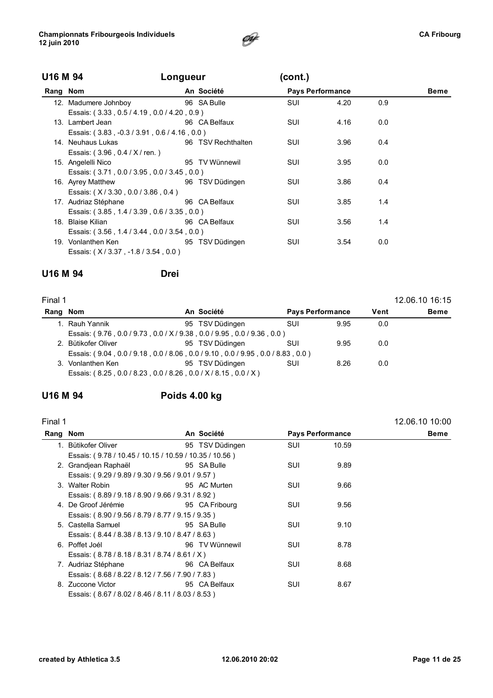

| U16 M 94 | Longueur                                    |  |                    | (cont.)                 |      |     |             |  |  |
|----------|---------------------------------------------|--|--------------------|-------------------------|------|-----|-------------|--|--|
| Rang Nom |                                             |  | An Société         | <b>Pays Performance</b> |      |     | <b>Beme</b> |  |  |
|          | 12. Madumere Johnboy                        |  | 96 SA Bulle        | SUI                     | 4.20 | 0.9 |             |  |  |
|          | Essais: (3.33, 0.5/4.19, 0.0/4.20, 0.9)     |  |                    |                         |      |     |             |  |  |
|          | 13. Lambert Jean                            |  | 96 CA Belfaux      | SUI                     | 4.16 | 0.0 |             |  |  |
|          | Essais: (3.83, -0.3/3.91, 0.6/4.16, 0.0)    |  |                    |                         |      |     |             |  |  |
|          | 14. Neuhaus Lukas                           |  | 96 TSV Rechthalten | SUI                     | 3.96 | 0.4 |             |  |  |
|          | Essais: (3.96, 0.4 / X / ren.)              |  |                    |                         |      |     |             |  |  |
|          | 15. Angelelli Nico                          |  | 95 TV Wünnewil     | SUI                     | 3.95 | 0.0 |             |  |  |
|          | Essais: (3.71, 0.0 / 3.95, 0.0 / 3.45, 0.0) |  |                    |                         |      |     |             |  |  |
|          | 16. Ayrey Matthew                           |  | 96 TSV Düdingen    | SUI                     | 3.86 | 0.4 |             |  |  |
|          | Essais: (X/3.30, 0.0/3.86, 0.4)             |  |                    |                         |      |     |             |  |  |
|          | 17. Audriaz Stéphane                        |  | 96 CA Belfaux      | <b>SUI</b>              | 3.85 | 1.4 |             |  |  |
|          | Essais: (3.85, 1.4 / 3.39, 0.6 / 3.35, 0.0) |  |                    |                         |      |     |             |  |  |
|          | 18. Blaise Kilian                           |  | 96 CA Belfaux      | <b>SUI</b>              | 3.56 | 1.4 |             |  |  |
|          | Essais: (3.56, 1.4 / 3.44, 0.0 / 3.54, 0.0) |  |                    |                         |      |     |             |  |  |
|          | 19. Vonlanthen Ken                          |  | 95 TSV Düdingen    | SUI                     | 3.54 | 0.0 |             |  |  |
|          | Essais: (X/3.37, -1.8/3.54, 0.0)            |  |                    |                         |      |     |             |  |  |

### U16 M 94 Drei

| Final 1  |                     |                                                                                 |                         |      |      | 12.06.10 16:15 |
|----------|---------------------|---------------------------------------------------------------------------------|-------------------------|------|------|----------------|
| Rang Nom |                     | An Société                                                                      | <b>Pays Performance</b> |      | Vent | <b>Beme</b>    |
|          | 1. Rauh Yannik      | 95 TSV Düdingen                                                                 | SUI                     | 9.95 | 0.0  |                |
|          |                     | Essais: (9.76, 0.0 / 9.73, 0.0 / X / 9.38, 0.0 / 9.95, 0.0 / 9.36, 0.0)         |                         |      |      |                |
|          | 2. Bütikofer Oliver | 95 TSV Düdingen                                                                 | SUI                     | 9.95 | 0.0  |                |
|          |                     | Essais: (9.04, 0.0 / 9.18, 0.0 / 8.06, 0.0 / 9.10, 0.0 / 9.95, 0.0 / 8.83, 0.0) |                         |      |      |                |
|          | 3. Vonlanthen Ken   | 95 TSV Düdingen                                                                 | SUI                     | 8.26 | 0.0  |                |
|          |                     | Essais: (8.25, 0.0 / 8.23, 0.0 / 8.26, 0.0 / X / 8.15, 0.0 / X)                 |                         |      |      |                |

### U16 M 94 Poids 4.00 kg

| Final 1  |                                                        |            |                 |                         |       | 12.06.10 10:00 |  |  |  |
|----------|--------------------------------------------------------|------------|-----------------|-------------------------|-------|----------------|--|--|--|
| Rang Nom |                                                        | An Société |                 | <b>Pays Performance</b> |       | Beme           |  |  |  |
|          | 1. Bütikofer Oliver                                    |            | 95 TSV Düdingen | <b>SUI</b>              | 10.59 |                |  |  |  |
|          | Essais: (9.78 / 10.45 / 10.15 / 10.59 / 10.35 / 10.56) |            |                 |                         |       |                |  |  |  |
|          | 2. Grandjean Raphaël                                   |            | 95 SA Bulle     | SUI                     | 9.89  |                |  |  |  |
|          | Essais: (9.29 / 9.89 / 9.30 / 9.56 / 9.01 / 9.57)      |            |                 |                         |       |                |  |  |  |
|          | 3. Walter Robin                                        |            | 95 AC Murten    | <b>SUI</b>              | 9.66  |                |  |  |  |
|          | Essais: (8.89 / 9.18 / 8.90 / 9.66 / 9.31 / 8.92)      |            |                 |                         |       |                |  |  |  |
|          | 4. De Groof Jérémie                                    |            | 95 CA Fribourg  | <b>SUI</b>              | 9.56  |                |  |  |  |
|          | Essais: (8.90 / 9.56 / 8.79 / 8.77 / 9.15 / 9.35)      |            |                 |                         |       |                |  |  |  |
|          | 5. Castella Samuel                                     |            | 95 SA Bulle     | <b>SUI</b>              | 9.10  |                |  |  |  |
|          | Essais: (8.44 / 8.38 / 8.13 / 9.10 / 8.47 / 8.63)      |            |                 |                         |       |                |  |  |  |
|          | 6. Poffet Joél                                         |            | 96 TV Wünnewil  | <b>SUI</b>              | 8.78  |                |  |  |  |
|          | Essais: (8.78 / 8.18 / 8.31 / 8.74 / 8.61 / X)         |            |                 |                         |       |                |  |  |  |
|          | 7. Audriaz Stéphane                                    |            | 96 CA Belfaux   | SUI                     | 8.68  |                |  |  |  |
|          | Essais: (8.68 / 8.22 / 8.12 / 7.56 / 7.90 / 7.83)      |            |                 |                         |       |                |  |  |  |
|          | 8. Zuccone Victor                                      |            | 95 CA Belfaux   | SUI                     | 8.67  |                |  |  |  |
|          | Essais: (8.67/8.02/8.46/8.11/8.03/8.53)                |            |                 |                         |       |                |  |  |  |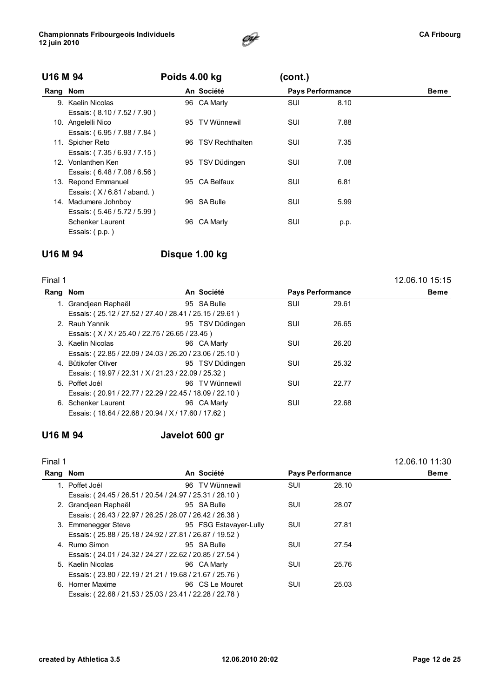

|          | U16 M 94                     |     | Poids 4.00 kg          |                         |      |      |
|----------|------------------------------|-----|------------------------|-------------------------|------|------|
| Rang Nom |                              |     | An Société             | <b>Pays Performance</b> |      | Beme |
|          | 9. Kaelin Nicolas            |     | 96 CA Marly            | SUI                     | 8.10 |      |
|          | Essais: (8.10 / 7.52 / 7.90) |     |                        |                         |      |      |
|          | 10. Angelelli Nico           |     | 95 TV Wünnewil         | SUI                     | 7.88 |      |
|          | Essais: (6.95 / 7.88 / 7.84) |     |                        |                         |      |      |
|          | 11. Spicher Reto             | 96. | <b>TSV Rechthalten</b> | SUI                     | 7.35 |      |
|          | Essais: (7.35/6.93/7.15)     |     |                        |                         |      |      |
|          | 12. Vonlanthen Ken           |     | 95 TSV Düdingen        | SUI                     | 7.08 |      |
|          | Essais: (6.48 / 7.08 / 6.56) |     |                        |                         |      |      |
|          | 13. Repond Emmanuel          |     | 95 CA Belfaux          | SUI                     | 6.81 |      |
|          | Essais: $(X/6.81 / aband.)$  |     |                        |                         |      |      |
|          | 14. Madumere Johnboy         |     | 96 SA Bulle            | SUI                     | 5.99 |      |
|          | Essais: (5.46 / 5.72 / 5.99) |     |                        |                         |      |      |
|          | Schenker Laurent             | 96. | CA Marly               | SUI                     | p.p. |      |
|          | Essais: (p.p.)               |     |                        |                         |      |      |

### U16 M 94 Disque 1.00 kg

| Final 1  |                                                         |                 |            |                         | 12.06.10 15:15 |
|----------|---------------------------------------------------------|-----------------|------------|-------------------------|----------------|
| Rang Nom |                                                         | An Société      |            | <b>Pays Performance</b> | Beme           |
|          | 1. Grandjean Raphaël                                    | 95 SA Bulle     | <b>SUI</b> | 29.61                   |                |
|          | Essais: (25.12 / 27.52 / 27.40 / 28.41 / 25.15 / 29.61) |                 |            |                         |                |
|          | 2. Rauh Yannik                                          | 95 TSV Düdingen | SUI        | 26.65                   |                |
|          | Essais: (X/X/25.40/22.75/26.65/23.45)                   |                 |            |                         |                |
|          | 3. Kaelin Nicolas                                       | 96 CA Marly     | <b>SUI</b> | 26.20                   |                |
|          | Essais: (22.85 / 22.09 / 24.03 / 26.20 / 23.06 / 25.10) |                 |            |                         |                |
|          | 4. Bütikofer Oliver                                     | 95 TSV Düdingen | <b>SUI</b> | 25.32                   |                |
|          | Essais: (19.97 / 22.31 / X / 21.23 / 22.09 / 25.32)     |                 |            |                         |                |
|          | 5. Poffet Joél                                          | 96 TV Wünnewil  | SUI        | 22.77                   |                |
|          | Essais: (20.91 / 22.77 / 22.29 / 22.45 / 18.09 / 22.10) |                 |            |                         |                |
|          | 6. Schenker Laurent                                     | 96 CA Marly     | <b>SUI</b> | 22.68                   |                |
|          | Essais: (18.64 / 22.68 / 20.94 / X / 17.60 / 17.62)     |                 |            |                         |                |
|          |                                                         |                 |            |                         |                |

### U16 M 94 Javelot 600 gr

| Final 1  |                                                         |                        |            |                         | 12.06.10 11:30 |
|----------|---------------------------------------------------------|------------------------|------------|-------------------------|----------------|
| Rang Nom |                                                         | An Société             |            | <b>Pays Performance</b> | <b>Beme</b>    |
|          | 1. Poffet Joél                                          | 96 TV Wünnewil         | <b>SUI</b> | 28.10                   |                |
|          | Essais: (24.45 / 26.51 / 20.54 / 24.97 / 25.31 / 28.10) |                        |            |                         |                |
|          | 2. Grandjean Raphaël                                    | 95 SA Bulle            | SUI        | 28.07                   |                |
|          | Essais: (26.43 / 22.97 / 26.25 / 28.07 / 26.42 / 26.38) |                        |            |                         |                |
|          | 3. Emmenegger Steve                                     | 95 FSG Estavayer-Lully | SUI        | 27.81                   |                |
|          | Essais: (25.88 / 25.18 / 24.92 / 27.81 / 26.87 / 19.52) |                        |            |                         |                |
|          | 4. Rumo Simon                                           | 95 SA Bulle            | SUI        | 27.54                   |                |
|          | Essais: (24.01 / 24.32 / 24.27 / 22.62 / 20.85 / 27.54) |                        |            |                         |                |
|          | 5. Kaelin Nicolas                                       | 96 CA Marly            | SUI        | 25.76                   |                |
|          | Essais: (23.80 / 22.19 / 21.21 / 19.68 / 21.67 / 25.76) |                        |            |                         |                |
|          | 6. Horner Maxime                                        | 96 CS Le Mouret        | SUI        | 25.03                   |                |
|          | Essais: (22.68 / 21.53 / 25.03 / 23.41 / 22.28 / 22.78) |                        |            |                         |                |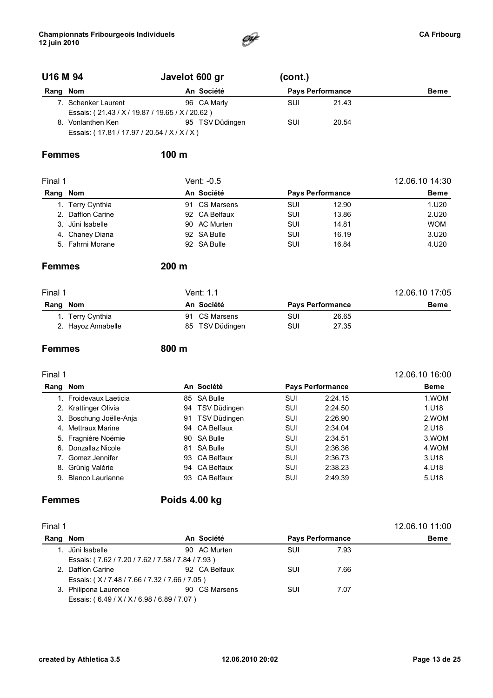

### U16 M 94 Javelot 600 gr (cont.)

| Rang Nom                                        |                                             |  | An Société      | <b>Pays Performance</b> |       | <b>Beme</b> |
|-------------------------------------------------|---------------------------------------------|--|-----------------|-------------------------|-------|-------------|
|                                                 | 7. Schenker Laurent                         |  | 96 CA Marly     | SUI                     | 21.43 |             |
| Essais: (21.43 / X / 19.87 / 19.65 / X / 20.62) |                                             |  |                 |                         |       |             |
|                                                 | 8. Vonlanthen Ken                           |  | 95 TSV Düdingen | SUI                     | 20.54 |             |
|                                                 | Essais: (17.81 / 17.97 / 20.54 / X / X / X) |  |                 |                         |       |             |

#### Femmes 100 m

| Final 1 |                   |  | Vent: -0.5    | 12.06.10 14:30 |                         |             |
|---------|-------------------|--|---------------|----------------|-------------------------|-------------|
|         | Rang Nom          |  | An Société    |                | <b>Pays Performance</b> | <b>Beme</b> |
|         | 1. Terry Cynthia  |  | 91 CS Marsens | SUI            | 12.90                   | 1.U20       |
|         | 2. Dafflon Carine |  | 92 CA Belfaux | SUI            | 13.86                   | 2.U20       |
|         | 3. Jüni Isabelle  |  | 90 AC Murten  | <b>SUI</b>     | 14.81                   | <b>WOM</b>  |
|         | 4. Chaney Diana   |  | 92 SA Bulle   | SUI            | 16.19                   | 3.020       |
|         | 5. Fahrni Morane  |  | 92 SA Bulle   | SUI            | 16.84                   | 4.U20       |

#### Femmes 200 m

| Final 1            | Vent: 1.1       | 12.06.10 17:05          |             |  |
|--------------------|-----------------|-------------------------|-------------|--|
| Nom<br>Rang        | An Société      | <b>Pays Performance</b> | <b>Beme</b> |  |
| 1. Terry Cynthia   | 91 CS Marsens   | SUI<br>26.65            |             |  |
| 2. Hayoz Annabelle | 85 TSV Düdingen | SUI<br>27.35            |             |  |

#### Femmes 800 m

#### Final 1 12.06.10 16:00 Rang Nom An Société Pays Performance Beme 1. Froidevaux Laeticia **85 SA Bulle** 1. COMBIN 85 SA Bulle **SUI** 2:24.15 1.WOM 2. Krattinger Olivia **94 TSV Düdingen** SUI 2:24.50 1.U18 3. Boschung Joëlle-Anja 91 TSV Düdingen SUI 2:26.90 2.WOM 4. Mettraux Marine 94 CA Belfaux SUI 2:34.04 2.U18 5. Fragnière Noémie 90 SA Bulle SUI 2:34.51 3.WOM 6. Donzallaz Nicole **81 SA Bulle** 81 SA Bulle 8UI 2:36.36 4.WOM

| <u>. Donadina i noviv</u> |               | --- | ------  | .     |
|---------------------------|---------------|-----|---------|-------|
| 7. Gomez Jennifer         | 93 CA Belfaux | SUI | 2:36.73 | 3.U18 |
| 8. Grünig Valérie         | 94 CA Belfaux | SUI | 2:38.23 | 4.U18 |
| 9. Blanco Laurianne       | 93 CA Belfaux | SUI | 2:49.39 | 5.U18 |
|                           |               |     |         |       |

#### Femmes Poids 4.00 kg

| Final 1  |                                                   |            |               |                         |      | 12.06.10 11:00 |
|----------|---------------------------------------------------|------------|---------------|-------------------------|------|----------------|
| Rang Nom |                                                   | An Société |               | <b>Pays Performance</b> |      | <b>Beme</b>    |
|          | 1. Jüni Isabelle                                  |            | 90 AC Murten  | <b>SUI</b>              | 7.93 |                |
|          | Essais: (7.62 / 7.20 / 7.62 / 7.58 / 7.84 / 7.93) |            |               |                         |      |                |
|          | 2. Dafflon Carine                                 |            | 92 CA Belfaux | <b>SUI</b>              | 7.66 |                |
|          | Essais: (X/7.48/7.66/7.32/7.66/7.05)              |            |               |                         |      |                |
|          | 3. Philipona Laurence                             |            | 90 CS Marsens | <b>SUI</b>              | 7.07 |                |
|          | Essais: (6.49 / X / X / 6.98 / 6.89 / 7.07)       |            |               |                         |      |                |
|          |                                                   |            |               |                         |      |                |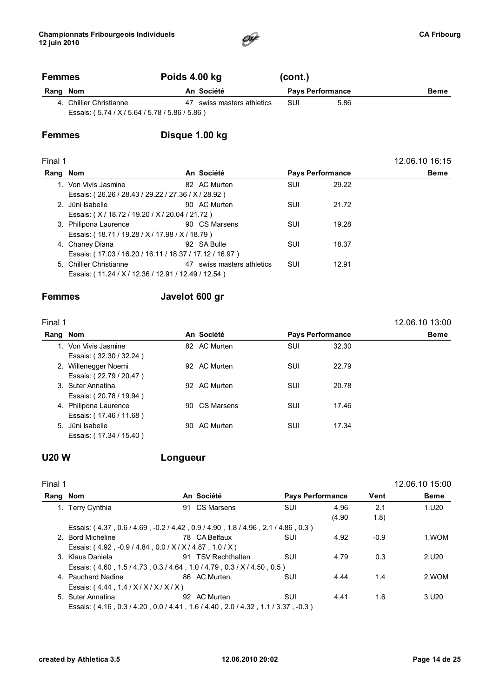

12.06.10 16:15

### Femmes Poids 4.00 kg (cont.) Rang Nom **An Société** Pays Performance Beme

4. Chillier Christianne 47 swiss masters athletics SUI 5.86 Essais: ( 5.74 / X / 5.64 / 5.78 / 5.86 / 5.86 )

### Femmes Disque 1.00 kg

| ┍<br>٠<br>٧ |  |
|-------------|--|
|-------------|--|

| Rang Nom                                                | An Société                 | <b>Pays Performance</b> |       | <b>Beme</b> |
|---------------------------------------------------------|----------------------------|-------------------------|-------|-------------|
| 1. Von Vivis Jasmine                                    | 82 AC Murten               | <b>SUI</b>              | 29.22 |             |
| Essais: (26.26 / 28.43 / 29.22 / 27.36 / X / 28.92)     |                            |                         |       |             |
| 2. Jüni Isabelle                                        | 90 AC Murten               | SUI                     | 21.72 |             |
| Essais: (X/18.72/19.20/X/20.04/21.72)                   |                            |                         |       |             |
| 3. Philipona Laurence                                   | 90 CS Marsens              | SUI                     | 19.28 |             |
| Essais: (18.71 / 19.28 / X / 17.98 / X / 18.79)         |                            |                         |       |             |
| 4. Chaney Diana                                         | 92 SA Bulle                | SUI                     | 18.37 |             |
| Essais: (17.03 / 16.20 / 16.11 / 18.37 / 17.12 / 16.97) |                            |                         |       |             |
| 5. Chillier Christianne                                 | 47 swiss masters athletics | SUI                     | 12.91 |             |
| Essais: (11.24 / X / 12.36 / 12.91 / 12.49 / 12.54)     |                            |                         |       |             |
|                                                         |                            |                         |       |             |

#### Femmes Javelot 600 gr

| ı<br>г<br>г<br>٠<br>٧ |  |
|-----------------------|--|
|-----------------------|--|

 $\overline{a}$ 

| inal 1 <sup>-</sup>     |            |               |                         |       |             |  |
|-------------------------|------------|---------------|-------------------------|-------|-------------|--|
| Rang Nom                | An Société |               | <b>Pays Performance</b> |       | <b>Beme</b> |  |
| 1. Von Vivis Jasmine    |            | 82 AC Murten  | SUI                     | 32.30 |             |  |
| Essais: (32.30 / 32.24) |            |               |                         |       |             |  |
| 2. Willenegger Noemi    |            | 92 AC Murten  | <b>SUI</b>              | 22.79 |             |  |
| Essais: (22.79 / 20.47) |            |               |                         |       |             |  |
| 3. Suter Annatina       |            | 92 AC Murten  | SUI                     | 20.78 |             |  |
| Essais: (20.78 / 19.94) |            |               |                         |       |             |  |
| 4. Philipona Laurence   |            | 90 CS Marsens | <b>SUI</b>              | 17.46 |             |  |
| Essais: (17.46 / 11.68) |            |               |                         |       |             |  |
| 5. Jüni Isabelle        | 90.        | AC Murten     | <b>SUI</b>              | 17.34 |             |  |
| Essais: (17.34 / 15.40) |            |               |                         |       |             |  |

L,

#### U20 W Longueur

| Final 1  |                                                |                                                                                  |                         |        |        | 12.06.10 15:00    |
|----------|------------------------------------------------|----------------------------------------------------------------------------------|-------------------------|--------|--------|-------------------|
| Rang Nom |                                                | An Société                                                                       | <b>Pays Performance</b> |        | Vent   | <b>Beme</b>       |
|          | 1. Terry Cynthia                               | 91 CS Marsens                                                                    | <b>SUI</b>              | 4.96   | 2.1    | 1.U20             |
|          |                                                |                                                                                  |                         | (4.90) | (1.8)  |                   |
|          |                                                | Essais: (4.37, 0.6 / 4.69, -0.2 / 4.42, 0.9 / 4.90, 1.8 / 4.96, 2.1 / 4.86, 0.3) |                         |        |        |                   |
|          | 2. Bord Micheline                              | 78 CA Belfaux                                                                    | SUI                     | 4.92   | $-0.9$ | 1.WOM             |
|          | Essais: (4.92, -0.9/4.84, 0.0/X/X/4.87, 1.0/X) |                                                                                  |                         |        |        |                   |
|          | 3. Klaus Daniela                               | 91 TSV Rechthalten                                                               | SUI                     | 4.79   | 0.3    | 2.U20             |
|          |                                                | Essais: (4.60, 1.5/4.73, 0.3/4.64, 1.0/4.79, 0.3/X/4.50, 0.5)                    |                         |        |        |                   |
|          | 4. Pauchard Nadine                             | 86 AC Murten                                                                     | SUI                     | 4.44   | 1.4    | 2.WOM             |
|          | Essais: (4.44, 1.4 / X / X / X / X / X )       |                                                                                  |                         |        |        |                   |
|          | 5. Suter Annatina                              | 92 AC Murten                                                                     | <b>SUI</b>              | 4.41   | 1.6    | 3.U <sub>20</sub> |
|          |                                                | Essais: (4.16, 0.3/4.20, 0.0/4.41, 1.6/4.40, 2.0/4.32, 1.1/3.37, -0.3)           |                         |        |        |                   |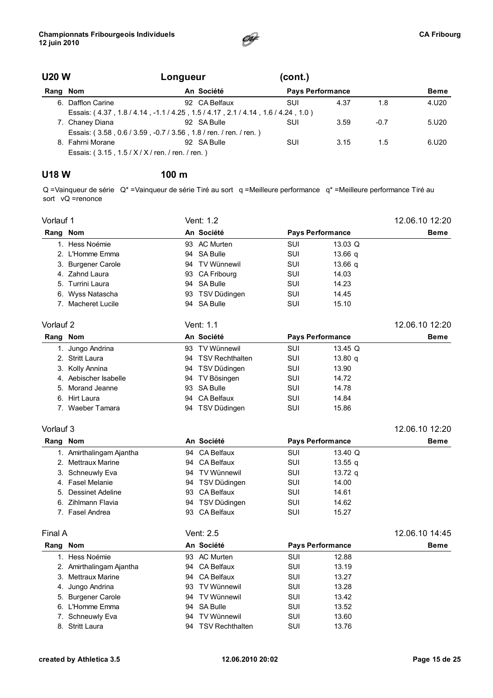

### U20 W Longueur (cont.) Rang Nom **An Société** Pays Performance **Beme**

| 6. Dafflon Carine                                | 92 CA Belfaux                                                                    | SUI | 4.37 | 1.8    | 4.U20 |
|--------------------------------------------------|----------------------------------------------------------------------------------|-----|------|--------|-------|
|                                                  | Essais: (4.37, 1.8 / 4.14, -1.1 / 4.25, 1.5 / 4.17, 2.1 / 4.14, 1.6 / 4.24, 1.0) |     |      |        |       |
| 7. Chaney Diana                                  | 92 SA Bulle                                                                      | SUI | 3.59 | $-0.7$ | 5.U20 |
|                                                  | Essais: (3.58, 0.6/3.59, -0.7/3.56, 1.8/ren./ren./ren.)                          |     |      |        |       |
| 8. Fahrni Morane                                 | 92 SA Bulle                                                                      | SUI | 3.15 | -1.5   | 6.U20 |
| Essais: (3.15, 1.5 / X / X / ren. / ren. / ren.) |                                                                                  |     |      |        |       |

#### U18 W 100 m

Q =Vainqueur de série Q\* =Vainqueur de série Tiré au sort q =Meilleure performance q\* =Meilleure performance Tiré au sort  $vQ$  =renonce

| Vorlauf 1 |                          |    | Vent: 1.2          |            |                         | 12.06.10 12:20 |
|-----------|--------------------------|----|--------------------|------------|-------------------------|----------------|
| Rang Nom  |                          |    | An Société         |            | <b>Pays Performance</b> | Beme           |
|           | 1. Hess Noémie           |    | 93 AC Murten       | <b>SUI</b> | 13.03 Q                 |                |
|           | 2. L'Homme Emma          | 94 | <b>SA Bulle</b>    | SUI        | 13.66 q                 |                |
|           | 3. Burgener Carole       | 94 | <b>TV Wünnewil</b> | SUI        | 13.66 q                 |                |
|           | 4. Zahnd Laura           |    | 93 CA Fribourg     | <b>SUI</b> | 14.03                   |                |
|           | 5. Turrini Laura         | 94 | <b>SA Bulle</b>    | <b>SUI</b> | 14.23                   |                |
|           | 6. Wyss Natascha         |    | 93 TSV Düdingen    | SUI        | 14.45                   |                |
|           | 7. Macheret Lucile       |    | 94 SA Bulle        | SUI        | 15.10                   |                |
| Vorlauf 2 |                          |    | Vent: 1.1          |            |                         | 12.06.10 12:20 |
| Rang Nom  |                          |    | An Société         |            | <b>Pays Performance</b> | <b>Beme</b>    |
|           | 1. Jungo Andrina         |    | 93 TV Wünnewil     | <b>SUI</b> | 13.45 Q                 |                |
|           | 2. Stritt Laura          |    | 94 TSV Rechthalten | <b>SUI</b> | 13.80 q                 |                |
|           | 3. Kolly Annina          |    | 94 TSV Düdingen    | SUI        | 13.90                   |                |
|           | 4. Aebischer Isabelle    | 94 | TV Bösingen        | <b>SUI</b> | 14.72                   |                |
|           | 5. Morand Jeanne         | 93 | <b>SA Bulle</b>    | <b>SUI</b> | 14.78                   |                |
|           | 6. Hirt Laura            |    | 94 CA Belfaux      | <b>SUI</b> | 14.84                   |                |
|           | 7. Waeber Tamara         |    | 94 TSV Düdingen    | <b>SUI</b> | 15.86                   |                |
| Vorlauf 3 |                          |    |                    |            |                         | 12.06.10 12:20 |
| Rang Nom  |                          |    | An Société         |            | <b>Pays Performance</b> | Beme           |
|           | 1. Amirthalingam Ajantha | 94 | <b>CA Belfaux</b>  | <b>SUI</b> | 13.40 Q                 |                |
|           | 2. Mettraux Marine       | 94 | <b>CA Belfaux</b>  | <b>SUI</b> | 13.55q                  |                |
|           | 3. Schneuwly Eva         |    | 94 TV Wünnewil     | <b>SUI</b> | 13.72 $q$               |                |
|           | 4. Fasel Melanie         |    | 94 TSV Düdingen    | <b>SUI</b> | 14.00                   |                |
|           | 5. Dessinet Adeline      | 93 | <b>CA Belfaux</b>  | <b>SUI</b> | 14.61                   |                |
|           | 6. Zihlmann Flavia       |    | 94 TSV Düdingen    | SUI        | 14.62                   |                |
|           | 7. Fasel Andrea          | 93 | <b>CA Belfaux</b>  | SUI        | 15.27                   |                |
| Final A   |                          |    | Vent: 2.5          |            |                         | 12.06.10 14:45 |
| Rang Nom  |                          |    | An Société         |            | <b>Pavs Performance</b> | Beme           |

| Rang Nom |                          |    | An Société             | <b>Pays Performance</b> |       | <b>Beme</b> |  |
|----------|--------------------------|----|------------------------|-------------------------|-------|-------------|--|
|          | 1. Hess Noémie           |    | 93 AC Murten           | SUI                     | 12.88 |             |  |
|          | 2. Amirthalingam Ajantha |    | 94 CA Belfaux          | SUI                     | 13.19 |             |  |
|          | 3. Mettraux Marine       |    | 94 CA Belfaux          | SUI                     | 13.27 |             |  |
|          | 4. Jungo Andrina         |    | 93 TV Wünnewil         | SUI                     | 13.28 |             |  |
|          | 5. Burgener Carole       |    | 94 TV Wünnewil         | SUI                     | 13.42 |             |  |
|          | 6. L'Homme Emma          |    | 94 SA Bulle            | <b>SUI</b>              | 13.52 |             |  |
|          | 7. Schneuwly Eva         | 94 | TV Wünnewil            | SUI                     | 13.60 |             |  |
|          | 8. Stritt Laura          | 94 | <b>TSV Rechthalten</b> | SUI                     | 13.76 |             |  |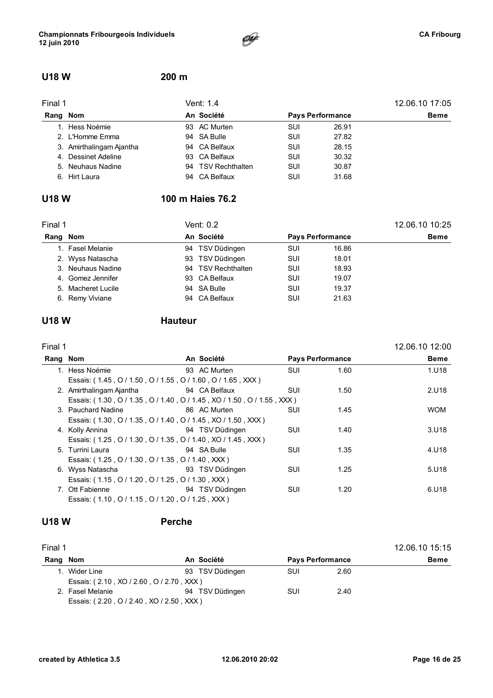

### U18 W 200 m

| Final 1  |                          | Vent: 1.4          | 12.06.10 17:05 |                         |             |
|----------|--------------------------|--------------------|----------------|-------------------------|-------------|
| Rang Nom |                          | An Société         |                | <b>Pays Performance</b> | <b>Beme</b> |
|          | 1. Hess Noémie           | 93 AC Murten       | <b>SUI</b>     | 26.91                   |             |
|          | 2. L'Homme Emma          | 94 SA Bulle        | <b>SUI</b>     | 27.82                   |             |
|          | 3. Amirthalingam Ajantha | 94 CA Belfaux      | <b>SUI</b>     | 28.15                   |             |
|          | 4. Dessinet Adeline      | 93 CA Belfaux      | <b>SUI</b>     | 30.32                   |             |
|          | 5. Neuhaus Nadine        | 94 TSV Rechthalten | SUI            | 30.87                   |             |
|          | 6. Hirt Laura            | 94 CA Belfaux      | SUI            | 31.68                   |             |

### U18 W 100 m Haies 76.2

| Final 1 |                    | Vent: 0.2 | 12.06.10 10:25     |            |                         |      |
|---------|--------------------|-----------|--------------------|------------|-------------------------|------|
| Rang    | Nom                |           | An Société         |            | <b>Pays Performance</b> | Beme |
|         | 1. Fasel Melanie   |           | 94 TSV Düdingen    | <b>SUI</b> | 16.86                   |      |
|         | 2. Wyss Natascha   |           | 93 TSV Düdingen    | <b>SUI</b> | 18.01                   |      |
|         | 3. Neuhaus Nadine  |           | 94 TSV Rechthalten | <b>SUI</b> | 18.93                   |      |
|         | 4. Gomez Jennifer  |           | 93 CA Belfaux      | <b>SUI</b> | 19.07                   |      |
|         | 5. Macheret Lucile |           | 94 SA Bulle        | <b>SUI</b> | 19.37                   |      |
|         | 6. Remy Viviane    |           | 94 CA Belfaux      | SUI        | 21.63                   |      |

### U18 W Hauteur

Final 1 12.06.10 12:00

| Rang Nom                                                                                                       |              | An Société              | <b>Pays Performance</b> |      | <b>Beme</b> |
|----------------------------------------------------------------------------------------------------------------|--------------|-------------------------|-------------------------|------|-------------|
| 1. Hess Noémie                                                                                                 |              | 93 AC Murten            | <b>SUI</b>              | 1.60 | 1.U18       |
| Essais: (1.45, O / 1.50, O / 1.55, O / 1.60, O / 1.65, XXX)                                                    |              |                         |                         |      |             |
| 2. Amirthalingam Ajantha <b>194 CA Belfaux</b>                                                                 |              |                         | SUI                     | 1.50 | 2.U18       |
| Essais: (1.30, O / 1.35, O / 1.40, O / 1.45, XO / 1.50, O / 1.55, XXX)                                         |              |                         |                         |      |             |
| 3. Pauchard Nadine                                                                                             | 86 AC Murten |                         | <b>SUI</b>              | 1.45 | <b>WOM</b>  |
| Essais: (1.30, O / 1.35, O / 1.40, O / 1.45, XO / 1.50, XXX)                                                   |              |                         |                         |      |             |
| 4. Kolly Annina                                                                                                |              | <b>194 TSV Düdingen</b> | SUI                     | 1.40 | 3.U18       |
| Essais: (1.25, 0/1.30, 0/1.35, 0/1.40, XO/1.45, XXX)                                                           |              |                         |                         |      |             |
| 5. Turrini Laura                                                                                               |              | 94 SA Bulle             | <b>SUI</b>              | 1.35 | 4.U18       |
| Essais: (1.25, 0/1.30, 0/1.35, 0/1.40, XXX)                                                                    |              |                         |                         |      |             |
| 6. Wyss Natascha and San State State State State State State State State State State State State State State S |              |                         | SUI                     | 1.25 | 5.U18       |
| Essais: (1.15, O / 1.20, O / 1.25, O / 1.30, XXX)                                                              |              |                         |                         |      |             |
| 7. Ott Fabienne                                                                                                |              | 94 TSV Düdingen         | SUI                     | 1.20 | 6.U18       |
| Essais: (1.10, O / 1.15, O / 1.20, O / 1.25, XXX)                                                              |              |                         |                         |      |             |
|                                                                                                                |              |                         |                         |      |             |

#### **U18 W**

| Perche |
|--------|
|        |

| Final 1  |                                          |                 |     |                         | 12.06.10 15:15 |
|----------|------------------------------------------|-----------------|-----|-------------------------|----------------|
| Rang Nom |                                          | An Société      |     | <b>Pays Performance</b> | <b>Beme</b>    |
|          | 1. Wider Line                            | 93 TSV Düdingen | SUI | 2.60                    |                |
|          | Essais: (2.10, XO / 2.60, O / 2.70, XXX) |                 |     |                         |                |
|          | 2. Fasel Melanie                         | 94 TSV Düdingen | SUI | 2.40                    |                |
|          | Essais: (2.20, O / 2.40, XO / 2.50, XXX) |                 |     |                         |                |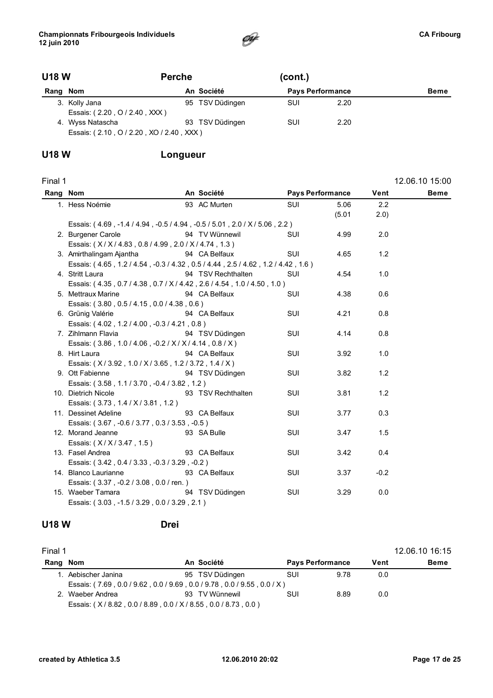

### U18 W Perche (cont.)

| Rang Nom |                                          | An Société      | <b>Pays Performance</b> |      | <b>Beme</b> |
|----------|------------------------------------------|-----------------|-------------------------|------|-------------|
|          | 3. Kolly Jana                            | 95 TSV Düdingen | SUI                     | 2.20 |             |
|          | Essais: (2.20, O / 2.40, XXX)            |                 |                         |      |             |
|          | 4. Wyss Natascha                         | 93 TSV Düdingen | SUI                     | 2.20 |             |
|          | Essais: (2.10, O / 2.20, XO / 2.40, XXX) |                 |                         |      |             |

### U18 W Longueur

| Final 1  |                                                                                  |                    |            |                         |        | 12.06.10 15:00 |
|----------|----------------------------------------------------------------------------------|--------------------|------------|-------------------------|--------|----------------|
| Rang Nom |                                                                                  | An Société         |            | <b>Pays Performance</b> | Vent   | <b>Beme</b>    |
|          | 1. Hess Noémie                                                                   | 93 AC Murten       | SUI        | 5.06                    | 2.2    |                |
|          |                                                                                  |                    |            | (5.01)                  | 2.0)   |                |
|          | Essais: (4.69, -1.4 / 4.94, -0.5 / 4.94, -0.5 / 5.01, 2.0 / X / 5.06, 2.2)       |                    |            |                         |        |                |
|          | 2. Burgener Carole                                                               | 94 TV Wünnewil     | <b>SUI</b> | 4.99                    | 2.0    |                |
|          | Essais: (X/X/4.83, 0.8/4.99, 2.0/X/4.74, 1.3)                                    |                    |            |                         |        |                |
|          | 3. Amirthalingam Ajantha                                                         | 94 CA Belfaux      | <b>SUI</b> | 4.65                    | 1.2    |                |
|          | Essais: (4.65, 1.2 / 4.54, -0.3 / 4.32, 0.5 / 4.44, 2.5 / 4.62, 1.2 / 4.42, 1.6) |                    |            |                         |        |                |
|          | 4. Stritt Laura                                                                  | 94 TSV Rechthalten | SUI        | 4.54                    | 1.0    |                |
|          | Essais: (4.35, 0.7/4.38, 0.7/X/4.42, 2.6/4.54, 1.0/4.50, 1.0)                    |                    |            |                         |        |                |
|          | 5. Mettraux Marine                                                               | 94 CA Belfaux      | SUI        | 4.38                    | 0.6    |                |
|          | Essais: (3.80, 0.5/4.15, 0.0/4.38, 0.6)                                          |                    |            |                         |        |                |
|          | 6. Grünig Valérie                                                                | 94 CA Belfaux      | SUI        | 4.21                    | 0.8    |                |
|          | Essais: (4.02, 1.2/4.00, -0.3/4.21, 0.8)                                         |                    |            |                         |        |                |
|          | 7. Zihlmann Flavia                                                               | 94 TSV Düdingen    | <b>SUI</b> | 4.14                    | 0.8    |                |
|          | Essais: (3.86, 1.0 / 4.06, -0.2 / X / X / 4.14, 0.8 / X)                         |                    |            |                         |        |                |
|          | 8. Hirt Laura                                                                    | 94 CA Belfaux      | <b>SUI</b> | 3.92                    | 1.0    |                |
|          | Essais: (X/3.92, 1.0/X/3.65, 1.2/3.72, 1.4/X)                                    |                    |            |                         |        |                |
|          | 9. Ott Fabienne                                                                  | 94 TSV Düdingen    | SUI        | 3.82                    | 1.2    |                |
|          | Essais: (3.58, 1.1/3.70, -0.4/3.82, 1.2)                                         |                    |            |                         |        |                |
|          | 10. Dietrich Nicole                                                              | 93 TSV Rechthalten | <b>SUI</b> | 3.81                    | 1.2    |                |
|          | Essais: (3.73, 1.4 / X / 3.81, 1.2)                                              |                    |            |                         |        |                |
|          | 11. Dessinet Adeline                                                             | 93 CA Belfaux      | <b>SUI</b> | 3.77                    | 0.3    |                |
|          | Essais: (3.67, -0.6 / 3.77, 0.3 / 3.53, -0.5)                                    |                    |            |                         |        |                |
|          | 12. Morand Jeanne                                                                | 93 SA Bulle        | SUI        | 3.47                    | 1.5    |                |
|          | Essais: (X/X/3.47, 1.5)                                                          |                    |            |                         |        |                |
|          | 13. Fasel Andrea                                                                 | 93 CA Belfaux      | SUI        | 3.42                    | 0.4    |                |
|          | Essais: (3.42, 0.4 / 3.33, -0.3 / 3.29, -0.2)                                    |                    |            |                         |        |                |
|          | 14. Blanco Laurianne                                                             | 93 CA Belfaux      | SUI        | 3.37                    | $-0.2$ |                |
|          | Essais: (3.37, -0.2/3.08, 0.0/ren.)                                              |                    |            |                         |        |                |
|          | 15. Waeber Tamara                                                                | 94 TSV Düdingen    | SUI        | 3.29                    | 0.0    |                |
|          | Essais: (3.03, -1.5 / 3.29, 0.0 / 3.29, 2.1)                                     |                    |            |                         |        |                |

#### U18 W Drei

| Final 1  |                                                                         |                 |     |                         |      | 12.06.10 16:15 |
|----------|-------------------------------------------------------------------------|-----------------|-----|-------------------------|------|----------------|
| Rang Nom |                                                                         | An Société      |     | <b>Pays Performance</b> | Vent | <b>Beme</b>    |
|          | 1. Aebischer Janina                                                     | 95 TSV Düdingen | SUI | 9.78                    | 0.0  |                |
|          | Essais: (7.69, 0.0 / 9.62, 0.0 / 9.69, 0.0 / 9.78, 0.0 / 9.55, 0.0 / X) |                 |     |                         |      |                |
|          | 2. Waeber Andrea                                                        | 93 TV Wünnewil  | SUI | 8.89                    | 0.0  |                |
|          | Essais: (X/8.82, 0.0/8.89, 0.0/X/8.55, 0.0/8.73, 0.0)                   |                 |     |                         |      |                |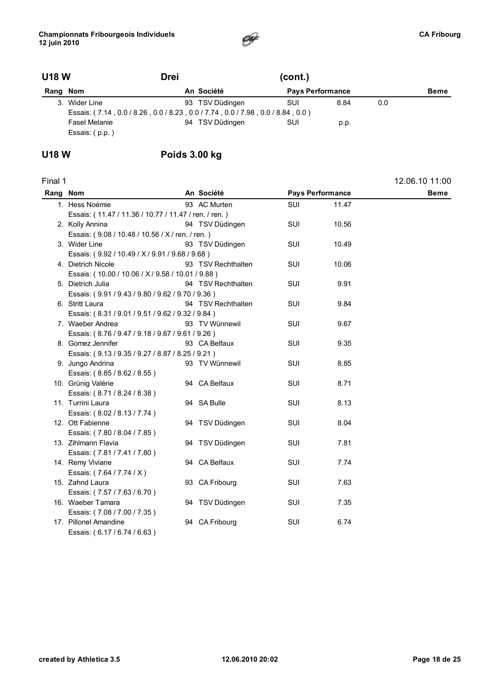

| <b>U18 W</b> |                                                                                                  | <b>Drei</b> | (cont.)         |                         |      |     |             |  |  |
|--------------|--------------------------------------------------------------------------------------------------|-------------|-----------------|-------------------------|------|-----|-------------|--|--|
|              | Rang Nom                                                                                         |             | An Société      | <b>Pays Performance</b> |      |     | <b>Beme</b> |  |  |
|              | 3. Wider Line<br>Essais: (7.14, 0.0 / 8.26, 0.0 / 8.23, 0.0 / 7.74, 0.0 / 7.98, 0.0 / 8.84, 0.0) |             | 93 TSV Düdingen | SUI                     | 8.84 | 0.0 |             |  |  |
|              | <b>Fasel Melanie</b><br>Essais: (p.p.)                                                           |             | 94 TSV Düdingen | SUI                     | p.p. |     |             |  |  |

### U18 W Poids 3.00 kg

| Final 1  |                                                       |                    |            |                         | 12.06.10 11:00 |
|----------|-------------------------------------------------------|--------------------|------------|-------------------------|----------------|
| Rang Nom |                                                       | An Société         |            | <b>Pays Performance</b> | <b>Beme</b>    |
|          | 1. Hess Noémie                                        | 93 AC Murten       | <b>SUI</b> | 11.47                   |                |
|          | Essais: (11.47 / 11.36 / 10.77 / 11.47 / ren. / ren.) |                    |            |                         |                |
|          | 2. Kolly Annina                                       | 94 TSV Düdingen    | <b>SUI</b> | 10.56                   |                |
|          | Essais: (9.08 / 10.48 / 10.56 / X / ren. / ren.)      |                    |            |                         |                |
|          | 3. Wider Line                                         | 93 TSV Düdingen    | <b>SUI</b> | 10.49                   |                |
|          | Essais: (9.92 / 10.49 / X / 9.91 / 9.68 / 9.68)       |                    |            |                         |                |
|          | 4. Dietrich Nicole                                    | 93 TSV Rechthalten | <b>SUI</b> | 10.06                   |                |
|          | Essais: (10.00 / 10.06 / X / 9.58 / 10.01 / 9.88)     |                    |            |                         |                |
|          | 5. Dietrich Julia                                     | 94 TSV Rechthalten | SUI        | 9.91                    |                |
|          | Essais: (9.91 / 9.43 / 9.80 / 9.62 / 9.70 / 9.36)     |                    |            |                         |                |
|          | 6. Stritt Laura                                       | 94 TSV Rechthalten | <b>SUI</b> | 9.84                    |                |
|          | Essais: (8.31 / 9.01 / 9.51 / 9.62 / 9.32 / 9.84)     |                    |            |                         |                |
|          | 7. Waeber Andrea                                      | 93 TV Wünnewil     | <b>SUI</b> | 9.67                    |                |
|          | Essais: (8.76 / 9.47 / 9.18 / 9.67 / 9.61 / 9.26)     |                    |            |                         |                |
|          | 8. Gomez Jennifer                                     | 93 CA Belfaux      | <b>SUI</b> | 9.35                    |                |
|          | Essais: (9.13 / 9.35 / 9.27 / 8.87 / 8.25 / 9.21)     |                    |            |                         |                |
|          | 9. Jungo Andrina                                      | 93 TV Wünnewil     | <b>SUI</b> | 8.85                    |                |
|          | Essais: (8.85/8.62/8.55)                              |                    |            |                         |                |
|          | 10. Grünig Valérie                                    | 94 CA Belfaux      | <b>SUI</b> | 8.71                    |                |
|          | Essais: (8.71/8.24/8.38)                              |                    |            |                         |                |
|          | 11. Turrini Laura                                     | 94 SA Bulle        | SUI        | 8.13                    |                |
|          | Essais: (8.02 / 8.13 / 7.74)                          |                    |            |                         |                |
|          | 12. Ott Fabienne                                      | 94 TSV Düdingen    | <b>SUI</b> | 8.04                    |                |
|          | Essais: (7.80 / 8.04 / 7.85)                          |                    |            |                         |                |
|          | 13. Zihlmann Flavia                                   | 94 TSV Düdingen    | <b>SUI</b> | 7.81                    |                |
|          | Essais: (7.81 / 7.41 / 7.80)                          |                    |            |                         |                |
|          | 14. Remy Viviane                                      | 94 CA Belfaux      | <b>SUI</b> | 7.74                    |                |
|          | Essais: (7.64 / 7.74 / X)                             |                    |            |                         |                |
|          | 15. Zahnd Laura                                       | 93 CA Fribourg     | SUI        | 7.63                    |                |
|          | Essais: (7.57 / 7.63 / 6.70)                          |                    |            |                         |                |
|          | 16. Waeber Tamara                                     | 94 TSV Düdingen    | <b>SUI</b> | 7.35                    |                |
|          | Essais: (7.08 / 7.00 / 7.35)                          |                    |            |                         |                |
|          | 17. Pillonel Amandine                                 | 94 CA Fribourg     | SUI        | 6.74                    |                |
|          | Essais: (6.17 / 6.74 / 6.63)                          |                    |            |                         |                |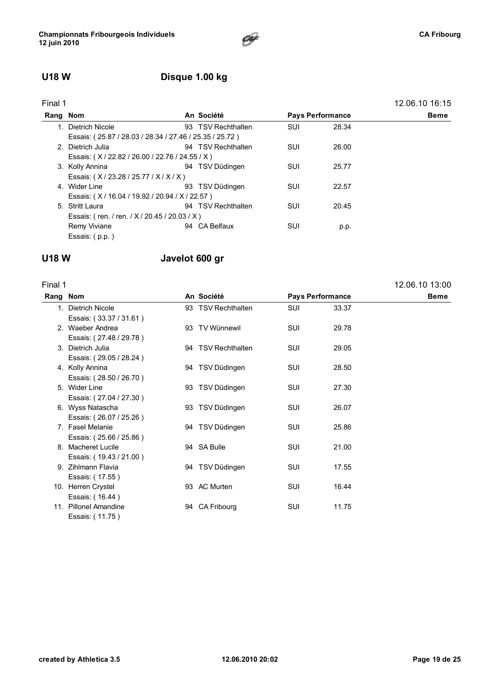### U18 W Disque 1.00 kg

| Final 1 |                                               |                                                         |            |                         | 12.06.10 16:15 |  |  |  |
|---------|-----------------------------------------------|---------------------------------------------------------|------------|-------------------------|----------------|--|--|--|
|         | Rang Nom                                      | An Société                                              |            | <b>Pays Performance</b> | Beme           |  |  |  |
|         | 1. Dietrich Nicole                            | 93 TSV Rechthalten                                      | SUI        | 28.34                   |                |  |  |  |
|         |                                               | Essais: (25.87 / 28.03 / 28.34 / 27.46 / 25.35 / 25.72) |            |                         |                |  |  |  |
|         | 2. Dietrich Julia                             | 94 TSV Rechthalten                                      | SUI        | 26.00                   |                |  |  |  |
|         | Essais: (X/22.82/26.00/22.76/24.55/X)         |                                                         |            |                         |                |  |  |  |
|         | 3. Kolly Annina                               | 94 TSV Düdingen                                         | <b>SUI</b> | 25.77                   |                |  |  |  |
|         | Essais: (X/23.28/25.77/X/X/X)                 |                                                         |            |                         |                |  |  |  |
|         | 4. Wider Line                                 | 93 TSV Düdingen                                         | <b>SUI</b> | 22.57                   |                |  |  |  |
|         | Essais: (X/16.04/19.92/20.94/X/22.57)         |                                                         |            |                         |                |  |  |  |
|         | 5. Stritt Laura                               | 94 TSV Rechthalten                                      | <b>SUI</b> | 20.45                   |                |  |  |  |
|         | Essais: (ren. / ren. / X / 20.45 / 20.03 / X) |                                                         |            |                         |                |  |  |  |
|         | Remy Viviane                                  | 94 CA Belfaux                                           | SUI        | p.p.                    |                |  |  |  |
|         | Essais: (p.p.)                                |                                                         |            |                         |                |  |  |  |
|         |                                               |                                                         |            |                         |                |  |  |  |

#### U18 W Javelot 600 gr

| Final 1  |                         |                    |            |                         | 12.06.10 13:00 |
|----------|-------------------------|--------------------|------------|-------------------------|----------------|
| Rang Nom |                         | An Société         |            | <b>Pays Performance</b> | <b>Beme</b>    |
|          | 1. Dietrich Nicole      | 93 TSV Rechthalten | <b>SUI</b> | 33.37                   |                |
|          | Essais: (33.37 / 31.61) |                    |            |                         |                |
|          | 2. Waeber Andrea        | 93 TV Wünnewil     | SUI        | 29.78                   |                |
|          | Essais: (27.48 / 29.78) |                    |            |                         |                |
|          | 3. Dietrich Julia       | 94 TSV Rechthalten | SUI        | 29.05                   |                |
|          | Essais: (29.05 / 28.24) |                    |            |                         |                |
|          | 4. Kolly Annina         | 94 TSV Düdingen    | <b>SUI</b> | 28.50                   |                |
|          | Essais: (28.50 / 26.70) |                    |            |                         |                |
|          | 5. Wider Line           | 93 TSV Düdingen    | <b>SUI</b> | 27.30                   |                |
|          | Essais: (27.04 / 27.30) |                    |            |                         |                |
|          | 6. Wyss Natascha        | 93 TSV Düdingen    | <b>SUI</b> | 26.07                   |                |
|          | Essais: (26.07 / 25.26) |                    |            |                         |                |
|          | 7. Fasel Melanie        | 94 TSV Düdingen    | <b>SUI</b> | 25.86                   |                |
|          | Essais: (25.66 / 25.86) |                    |            |                         |                |
|          | 8. Macheret Lucile      | 94 SA Bulle        | <b>SUI</b> | 21.00                   |                |
|          | Essais: (19.43 / 21.00) |                    |            |                         |                |
|          | 9. Zihlmann Flavia      | 94 TSV Düdingen    | SUI        | 17.55                   |                |
|          | Essais: (17.55)         |                    |            |                         |                |
|          | 10. Herren Crystel      | 93 AC Murten       | SUI        | 16.44                   |                |
|          | Essais: (16.44)         |                    |            |                         |                |
|          | 11. Pillonel Amandine   | 94 CA Fribourg     | SUI        | 11.75                   |                |
|          | Essais: (11.75)         |                    |            |                         |                |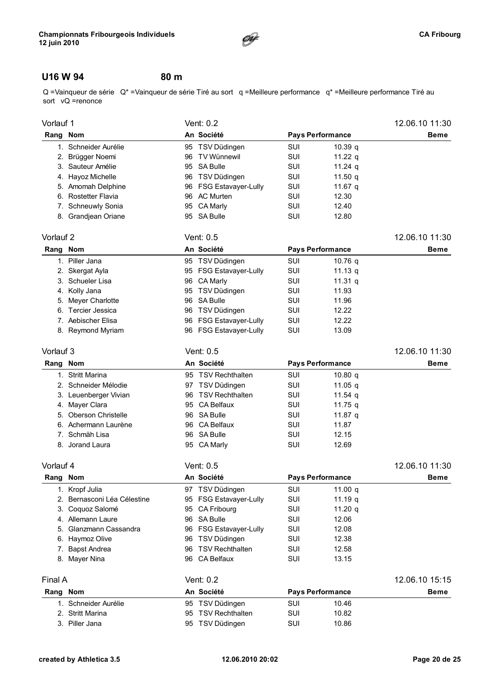

### U16 W 94 80 m

Q =Vainqueur de série Q\* =Vainqueur de série Tiré au sort q =Meilleure performance q\* =Meilleure performance Tiré au sort vQ =renonce

|      | Vorlauf 1              |    | Vent: 0.2              | 12.06.10 11:30 |                         |             |
|------|------------------------|----|------------------------|----------------|-------------------------|-------------|
| Rang | Nom                    |    | An Société             |                | <b>Pays Performance</b> | <b>Beme</b> |
|      | Schneider Aurélie      |    | 95 TSV Düdingen        | SUI            | 10.39 <sub>q</sub>      |             |
|      | 2. Brügger Noemi       |    | 96 TV Wünnewil         | SUI            | 11.22 $q$               |             |
|      | 3. Sauteur Amélie      |    | 95 SA Bulle            | <b>SUI</b>     | 11.24 $q$               |             |
|      | 4. Hayoz Michelle      | 96 | TSV Düdingen           | SUI            | 11.50 g                 |             |
|      | 5. Amomah Delphine     |    | 96 FSG Estavayer-Lully | SUI            | 11.67 g                 |             |
|      | 6. Rostetter Flavia    | 96 | AC Murten              | SUI            | 12.30                   |             |
| 7.   | <b>Schneuwly Sonia</b> |    | 95 CA Marly            | SUI            | 12.40                   |             |
|      | 8. Grandjean Oriane    |    | 95 SA Bulle            | SUI            | 12.80                   |             |

|          | Vorlauf 2          |  | Vent: 0.5              | 12.06.10 11:30 |                         |             |
|----------|--------------------|--|------------------------|----------------|-------------------------|-------------|
| Rang Nom |                    |  | An Société             |                | <b>Pays Performance</b> | <b>Beme</b> |
|          | 1. Piller Jana     |  | 95 TSV Düdingen        | SUI            | 10.76 g                 |             |
|          | 2. Skergat Ayla    |  | 95 FSG Estavayer-Lully | SUI            | 11.13 g                 |             |
|          | 3. Schueler Lisa   |  | 96 CA Marly            | SUI            | 11.31 g                 |             |
|          | 4. Kolly Jana      |  | 95 TSV Düdingen        | SUI            | 11.93                   |             |
|          | 5. Meyer Charlotte |  | 96 SA Bulle            | SUI            | 11.96                   |             |
|          | 6. Tercier Jessica |  | 96 TSV Düdingen        | SUI            | 12.22                   |             |
|          | 7. Aebischer Elisa |  | 96 FSG Estavayer-Lully | SUI            | 12.22                   |             |
|          | 8. Reymond Myriam  |  | 96 FSG Estavayer-Lully | SUI            | 13.09                   |             |

#### Vorlauf 3 Vent: 0.5 12.06.10 11:30

#### Rang Nom **An Société** Pays Performance Beme 1. Stritt Marina **10.80 q** 95 TSV Rechthalten **SUI** 10.80 q 2. Schneider Mélodie **97 TSV Düdingen** SUI 11.05 q 3. Leuenberger Vivian 96 TSV Rechthalten SUI 11.54 q 4. Mayer Clara **11.75 q** 95 CA Belfaux **SUI** 11.75 q 5. Oberson Christelle **11.87 q** 96 SA Bulle SUI 11.87 q 6. Achermann Laurène 96 CA Belfaux SUI 11.87 7. Schmäh Lisa 96 SA Bulle SUI 12.15 8. Jorand Laura **95 CA Marly SUI** 12.69

Vorlauf 4 Vent: 0.5 12.06.10 11:30

| Rang Nom |                             |     | An Société             |     | <b>Pays Performance</b> | <b>Beme</b>    |
|----------|-----------------------------|-----|------------------------|-----|-------------------------|----------------|
|          | 1. Kropf Julia              |     | 97 TSV Düdingen        | SUI | 11.00 $q$               |                |
|          | 2. Bernasconi Léa Célestine |     | 95 FSG Estavayer-Lully | SUI | 11.19 $q$               |                |
|          | 3. Coquoz Salomé            |     | 95 CA Fribourg         | SUI | 11.20 $q$               |                |
|          | 4. Allemann Laure           |     | 96 SA Bulle            | SUI | 12.06                   |                |
|          | 5. Glanzmann Cassandra      |     | 96 FSG Estavayer-Lully | SUI | 12.08                   |                |
|          | 6. Haymoz Olive             | 96. | TSV Düdingen           | SUI | 12.38                   |                |
|          | <b>Bapst Andrea</b>         | 96  | <b>TSV Rechthalten</b> | SUI | 12.58                   |                |
|          | 8. Mayer Nina               | 96  | CA Belfaux             | SUI | 13.15                   |                |
| Final A  |                             |     | Vent: 0.2              |     |                         | 12.06.10 15:15 |
| Rang Nom |                             |     | An Société             |     | <b>Pays Performance</b> | <b>Beme</b>    |
|          | 1. Schneider Aurélie        |     | 95 TSV Düdingen        | SUI | 10.46                   |                |
|          | 2. Stritt Marina            | 95  | <b>TSV Rechthalten</b> | SUI | 10.82                   |                |
|          | 3. Piller Jana              |     | 95 TSV Düdingen        | SUI | 10.86                   |                |
|          |                             |     |                        |     |                         |                |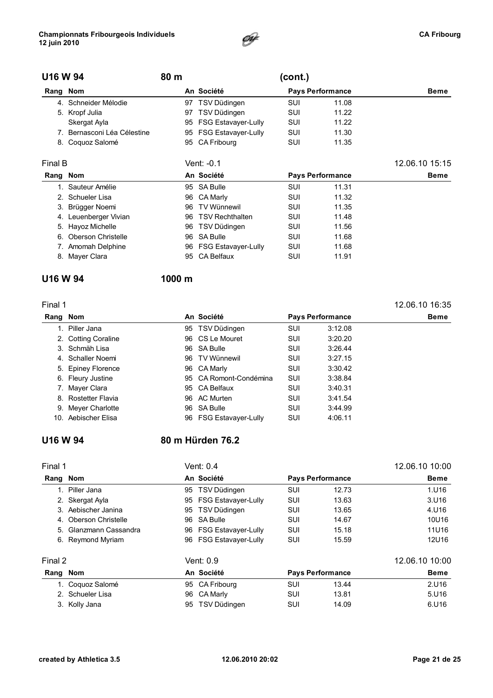

| U16 W 94 |                             | 80 m |                            | (cont.) |                         |                |
|----------|-----------------------------|------|----------------------------|---------|-------------------------|----------------|
| Rang Nom |                             |      | An Société                 |         | <b>Pays Performance</b> | Beme           |
| 4.       | Schneider Mélodie           |      | 97 TSV Düdingen            | SUI     | 11.08                   |                |
|          | 5. Kropf Julia              | 97   | TSV Düdingen               | SUI     | 11.22                   |                |
|          | Skergat Ayla                |      | 95 FSG Estavayer-Lully     | SUI     | 11.22                   |                |
|          | 7. Bernasconi Léa Célestine |      | 95 FSG Estavayer-Lully     | SUI     | 11.30                   |                |
|          | 8. Coquoz Salomé            | 95   | CA Fribourg                | SUI     | 11.35                   |                |
| Final B  |                             |      | Vent: -0.1                 |         |                         | 12.06.10 15:15 |
| Rang     | Nom                         |      | An Société                 |         | <b>Pays Performance</b> | Beme           |
|          | 1. Sauteur Amélie           | 95   | SA Bulle                   | SUI     | 11.31                   |                |
|          | 2. Schueler Lisa            | 96.  | CA Marly                   | SUI     | 11.32                   |                |
|          | 3. Brügger Noemi            | 96   | <b>TV Wünnewil</b>         | SUI     | 11.35                   |                |
| 4.       | Leuenberger Vivian          | 96   | <b>TSV Rechthalten</b>     | SUI     | 11.48                   |                |
|          | 5. Hayoz Michelle           | 96   | TSV Düdingen               | SUI     | 11.56                   |                |
| 6.       | <b>Oberson Christelle</b>   | 96   | <b>SA Bulle</b>            | SUI     | 11.68                   |                |
|          | 7. Amomah Delphine          | 96   | <b>FSG Estavayer-Lully</b> | SUI     | 11.68                   |                |
|          | 8. Mayer Clara              | 95   | <b>CA Belfaux</b>          | SUI     | 11.91                   |                |

#### U16 W 94 1000 m

| Final 1  |                     |     |                            |            |                         | 12.06.10 16:35 |
|----------|---------------------|-----|----------------------------|------------|-------------------------|----------------|
| Rang Nom |                     |     | An Société                 |            | <b>Pays Performance</b> | <b>Beme</b>    |
|          | 1. Piller Jana      |     | 95 TSV Düdingen            | <b>SUI</b> | 3:12.08                 |                |
|          | 2. Cotting Coraline |     | 96 CS Le Mouret            | <b>SUI</b> | 3:20.20                 |                |
|          | 3. Schmäh Lisa      |     | 96 SA Bulle                | <b>SUI</b> | 3:26.44                 |                |
|          | 4. Schaller Noemi   |     | 96 TV Wünnewil             | <b>SUI</b> | 3:27.15                 |                |
|          | 5. Epiney Florence  |     | 96 CA Marly                | <b>SUI</b> | 3:30.42                 |                |
|          | 6. Fleury Justine   |     | 95 CA Romont-Condémina     | <b>SUI</b> | 3:38.84                 |                |
|          | 7. Mayer Clara      |     | 95 CA Belfaux              | SUI        | 3:40.31                 |                |
|          | 8. Rostetter Flavia |     | 96 AC Murten               | <b>SUI</b> | 3:41.54                 |                |
|          | 9. Meyer Charlotte  |     | 96 SA Bulle                | SUI        | 3:44.99                 |                |
|          | 10. Aebischer Elisa | 96. | <b>FSG Estavayer-Lully</b> | <b>SUI</b> | 4:06.11                 |                |

### U16 W 94 80 m Hürden 76.2

| Final 1 |                        | Vent: 0.4                        |            |                         | 12.06.10 10:00 |
|---------|------------------------|----------------------------------|------------|-------------------------|----------------|
| Rang    | Nom                    | An Société                       |            | <b>Pays Performance</b> | <b>Beme</b>    |
|         | 1. Piller Jana         | TSV Düdingen<br>95               | <b>SUI</b> | 12.73                   | 1.U16          |
|         | 2. Skergat Ayla        | 95 FSG Estavayer-Lully           | SUI        | 13.63                   | 3.016          |
|         | 3. Aebischer Janina    | TSV Düdingen<br>95               | SUI        | 13.65                   | 4.U16          |
|         | 4. Oberson Christelle  | 96 SA Bulle                      | SUI        | 14.67                   | 10U16          |
|         | 5. Glanzmann Cassandra | 96 FSG Estavayer-Lully           | <b>SUI</b> | 15.18                   | 11U16          |
|         | 6. Reymond Myriam      | <b>FSG Estavaver-Lully</b><br>96 | SUI        | 15.59                   | 12U16          |
| Final 2 |                        | Vent: 0.9                        |            |                         | 12.06.10 10:00 |
| Rang    | Nom                    | An Société                       |            | <b>Pays Performance</b> | <b>Beme</b>    |
|         | 1. Coquoz Salomé       | 95 CA Fribourg                   | SUI        | 13.44                   | 2.U16          |
|         | 2. Schueler Lisa       | CA Marly<br>96                   | SUI        | 13.81                   | 5.U16          |
|         | 3. Kolly Jana          | TSV Düdingen<br>95               | SUI        | 14.09                   | 6.U16          |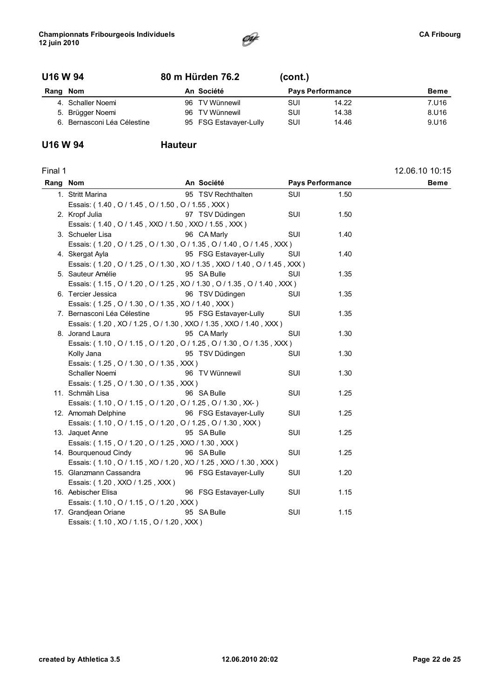

#### U16 W 94 80 m Hürden 76.2 (cont.)

| Rang | Nom                         |     | An Société             | <b>Pays Performance</b> |       | <b>Beme</b> |
|------|-----------------------------|-----|------------------------|-------------------------|-------|-------------|
|      | 4. Schaller Noemi           | 96. | TV Wünnewil            | SUI                     | 14.22 | 7.U16       |
|      | 5. Brügger Noemi            | 96. | TV Wünnewil            | SUI                     | 14.38 | 8.U16       |
|      | 6. Bernasconi Léa Célestine |     | 95 FSG Estavayer-Lully | SUI                     | 14.46 | 9.U16       |

### U16 W 94 Hauteur

| Final 1  |                                                                          |                        |                         |      | 12.06.10 10:15 |
|----------|--------------------------------------------------------------------------|------------------------|-------------------------|------|----------------|
| Rang Nom |                                                                          | An Société             | <b>Pays Performance</b> |      | <b>Beme</b>    |
|          | 1. Stritt Marina                                                         | 95 TSV Rechthalten     | SUI                     | 1.50 |                |
|          | Essais: (1.40, O / 1.45, O / 1.50, O / 1.55, XXX)                        |                        |                         |      |                |
|          | 2. Kropf Julia                                                           | 97 TSV Düdingen        | SUI                     | 1.50 |                |
|          | Essais: (1.40, O / 1.45, XXO / 1.50, XXO / 1.55, XXX)                    |                        |                         |      |                |
|          | 3. Schueler Lisa                                                         | 96 CA Marly            | SUI                     | 1.40 |                |
|          | Essais: (1.20, O / 1.25, O / 1.30, O / 1.35, O / 1.40, O / 1.45, XXX)    |                        |                         |      |                |
|          | 4. Skergat Ayla                                                          | 95 FSG Estavayer-Lully | SUI                     | 1.40 |                |
|          | Essais: (1.20, O / 1.25, O / 1.30, XO / 1.35, XXO / 1.40, O / 1.45, XXX) |                        |                         |      |                |
|          | 5. Sauteur Amélie                                                        | 95 SA Bulle            | SUI                     | 1.35 |                |
|          | Essais: (1.15, 0/1.20, 0/1.25, XO/1.30, 0/1.35, 0/1.40, XXX)             |                        |                         |      |                |
|          | 6. Tercier Jessica                                                       | 96 TSV Düdingen        | SUI                     | 1.35 |                |
|          | Essais: (1.25, O / 1.30, O / 1.35, XO / 1.40, XXX)                       |                        |                         |      |                |
|          | 7. Bernasconi Léa Célestine                                              | 95 FSG Estavayer-Lully | SUI                     | 1.35 |                |
|          | Essais: (1.20, XO / 1.25, O / 1.30, XXO / 1.35, XXO / 1.40, XXX)         |                        |                         |      |                |
|          | 8. Jorand Laura                                                          | 95 CA Marly            | SUI                     | 1.30 |                |
|          | Essais: (1.10, O / 1.15, O / 1.20, O / 1.25, O / 1.30, O / 1.35, XXX)    |                        |                         |      |                |
|          | Kolly Jana                                                               | 95 TSV Düdingen        | SUI                     | 1.30 |                |
|          | Essais: (1.25, O / 1.30, O / 1.35, XXX)                                  |                        |                         |      |                |
|          | Schaller Noemi                                                           | 96 TV Wünnewil         | SUI                     | 1.30 |                |
|          | Essais: (1.25, O / 1.30, O / 1.35, XXX)                                  |                        |                         |      |                |
|          | 11. Schmäh Lisa                                                          | 96 SA Bulle            | <b>SUI</b>              | 1.25 |                |
|          | Essais: (1.10, O / 1.15, O / 1.20, O / 1.25, O / 1.30, XX-)              |                        |                         |      |                |
|          | 12. Amomah Delphine                                                      | 96 FSG Estavayer-Lully | SUI                     | 1.25 |                |
|          | Essais: (1.10, O / 1.15, O / 1.20, O / 1.25, O / 1.30, XXX)              |                        |                         |      |                |
|          | 13. Jaquet Anne                                                          | 95 SA Bulle            | <b>SUI</b>              | 1.25 |                |
|          | Essais: (1.15, O / 1.20, O / 1.25, XXO / 1.30, XXX)                      |                        |                         |      |                |
|          | 14. Bourquenoud Cindy                                                    | 96 SA Bulle            | SUI                     | 1.25 |                |
|          | Essais: (1.10, O / 1.15, XO / 1.20, XO / 1.25, XXO / 1.30, XXX)          |                        |                         |      |                |
|          | 15. Glanzmann Cassandra                                                  | 96 FSG Estavayer-Lully | SUI                     | 1.20 |                |
|          | Essais: (1.20, XXO / 1.25, XXX)                                          |                        |                         |      |                |
|          | 16. Aebischer Elisa                                                      | 96 FSG Estavayer-Lully | SUI                     | 1.15 |                |
|          | Essais: (1.10, O / 1.15, O / 1.20, XXX)                                  |                        |                         |      |                |
|          | 17. Grandjean Oriane                                                     | 95 SA Bulle            | SUI                     | 1.15 |                |
|          | Essais: (1.10, XO / 1.15, O / 1.20, XXX)                                 |                        |                         |      |                |
|          |                                                                          |                        |                         |      |                |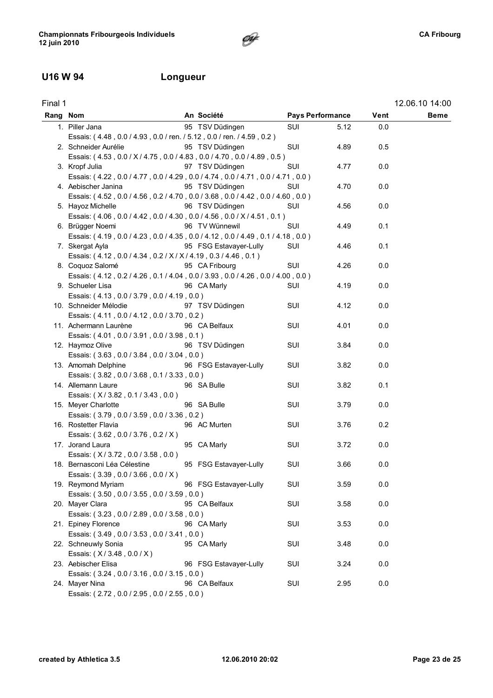### U16 W 94 Longueur

| Final 1  |                                                                                 |                        |                         |      |      | 12.06.10 14:00 |
|----------|---------------------------------------------------------------------------------|------------------------|-------------------------|------|------|----------------|
| Rang Nom |                                                                                 | An Société             | <b>Pays Performance</b> |      | Vent | <b>Beme</b>    |
|          | 1. Piller Jana                                                                  | 95 TSV Düdingen        | SUI                     | 5.12 | 0.0  |                |
|          | Essais: (4.48, 0.0 / 4.93, 0.0 / ren. / 5.12, 0.0 / ren. / 4.59, 0.2)           |                        |                         |      |      |                |
|          | 2. Schneider Aurélie                                                            | 95 TSV Düdingen        | SUI                     | 4.89 | 0.5  |                |
|          | Essais: (4.53, 0.0 / X / 4.75, 0.0 / 4.83, 0.0 / 4.70, 0.0 / 4.89, 0.5)         |                        |                         |      |      |                |
|          | 3. Kropf Julia                                                                  | 97 TSV Düdingen        | SUI                     | 4.77 | 0.0  |                |
|          | Essais: (4.22, 0.0/4.77, 0.0/4.29, 0.0/4.74, 0.0/4.71, 0.0/4.71, 0.0)           |                        |                         |      |      |                |
|          | 4. Aebischer Janina                                                             | 95 TSV Düdingen        | SUI                     | 4.70 | 0.0  |                |
|          | Essais: (4.52, 0.0 / 4.56, 0.2 / 4.70, 0.0 / 3.68, 0.0 / 4.42, 0.0 / 4.60, 0.0) |                        |                         |      |      |                |
|          | 5. Hayoz Michelle                                                               | 96 TSV Düdingen        | SUI                     | 4.56 | 0.0  |                |
|          | Essais: (4.06, 0.0 / 4.42, 0.0 / 4.30, 0.0 / 4.56, 0.0 / X / 4.51, 0.1)         |                        |                         |      |      |                |
|          | 6. Brügger Noemi                                                                | 96 TV Wünnewil         | SUI                     | 4.49 | 0.1  |                |
|          | Essais: (4.19, 0.0 / 4.23, 0.0 / 4.35, 0.0 / 4.12, 0.0 / 4.49, 0.1 / 4.18, 0.0) |                        |                         |      |      |                |
|          | 7. Skergat Ayla                                                                 | 95 FSG Estavayer-Lully | SUI                     | 4.46 | 0.1  |                |
|          | Essais: (4.12, 0.0 / 4.34, 0.2 / X / X / 4.19, 0.3 / 4.46, 0.1)                 |                        |                         |      |      |                |
|          | 8. Coquoz Salomé                                                                | 95 CA Fribourg         | SUI                     | 4.26 | 0.0  |                |
|          | Essais: (4.12, 0.2/4.26, 0.1/4.04, 0.0/3.93, 0.0/4.26, 0.0/4.00, 0.0)           |                        |                         |      |      |                |
|          | 9. Schueler Lisa                                                                | 96 CA Marly            | SUI                     | 4.19 | 0.0  |                |
|          | Essais: (4.13, 0.0 / 3.79, 0.0 / 4.19, 0.0)                                     |                        |                         |      |      |                |
|          | 10. Schneider Mélodie                                                           | 97 TSV Düdingen        | SUI                     | 4.12 | 0.0  |                |
|          | Essais: (4.11, 0.0 / 4.12, 0.0 / 3.70, 0.2)                                     |                        |                         |      |      |                |
|          | 11. Achermann Laurène                                                           | 96 CA Belfaux          | SUI                     | 4.01 | 0.0  |                |
|          | Essais: (4.01, 0.0/3.91, 0.0/3.98, 0.1)                                         |                        |                         |      |      |                |
|          | 12. Haymoz Olive                                                                | 96 TSV Düdingen        | SUI                     | 3.84 | 0.0  |                |
|          | Essais: (3.63, 0.0 / 3.84, 0.0 / 3.04, 0.0)                                     |                        |                         |      |      |                |
|          | 13. Amomah Delphine                                                             | 96 FSG Estavayer-Lully | SUI                     | 3.82 | 0.0  |                |
|          | Essais: (3.82, 0.0/3.68, 0.1/3.33, 0.0)                                         |                        |                         |      |      |                |
|          | 14. Allemann Laure                                                              | 96 SA Bulle            | SUI                     | 3.82 | 0.1  |                |
|          | Essais: (X/3.82, 0.1/3.43, 0.0)                                                 |                        |                         |      |      |                |
|          | 15. Meyer Charlotte                                                             | 96 SA Bulle            | SUI                     | 3.79 | 0.0  |                |
|          | Essais: (3.79, 0.0 / 3.59, 0.0 / 3.36, 0.2)                                     |                        |                         |      |      |                |
|          | 16. Rostetter Flavia                                                            | 96 AC Murten           | SUI                     | 3.76 | 0.2  |                |
|          | Essais: (3.62, 0.0 / 3.76, 0.2 / X)                                             |                        |                         |      |      |                |
|          | 17. Jorand Laura                                                                | 95 CA Marly            | SUI                     | 3.72 | 0.0  |                |
|          | Essais: (X/3.72, 0.0/3.58, 0.0)                                                 |                        |                         |      |      |                |
|          | 18. Bernasconi Léa Célestine 95 FSG Estavayer-Lully                             |                        | SUI                     | 3.66 | 0.0  |                |
|          | Essais: (3.39, 0.0 / 3.66, 0.0 / X)                                             |                        |                         |      |      |                |
|          | 19. Reymond Myriam                                                              | 96 FSG Estavayer-Lully | SUI                     | 3.59 | 0.0  |                |
|          | Essais: (3.50, 0.0 / 3.55, 0.0 / 3.59, 0.0)                                     |                        |                         |      |      |                |
|          | 20. Mayer Clara                                                                 | 95 CA Belfaux          | SUI                     | 3.58 | 0.0  |                |
|          | Essais: (3.23, 0.0 / 2.89, 0.0 / 3.58, 0.0)                                     |                        |                         |      |      |                |
|          | 21. Epiney Florence                                                             | 96 CA Marly            | SUI                     | 3.53 | 0.0  |                |
|          | Essais: (3.49, 0.0 / 3.53, 0.0 / 3.41, 0.0)                                     |                        |                         |      |      |                |
|          | 22. Schneuwly Sonia                                                             | 95 CA Marly            | SUI                     | 3.48 | 0.0  |                |
|          | Essais: (X/3.48, 0.0/X)                                                         |                        |                         |      |      |                |
|          | 23. Aebischer Elisa                                                             | 96 FSG Estavayer-Lully | SUI                     | 3.24 | 0.0  |                |
|          | Essais: (3.24, 0.0/3.16, 0.0/3.15, 0.0)                                         |                        |                         |      |      |                |
|          | 24. Mayer Nina                                                                  | 96 CA Belfaux          | SUI                     | 2.95 | 0.0  |                |
|          | Essais: (2.72, 0.0 / 2.95, 0.0 / 2.55, 0.0)                                     |                        |                         |      |      |                |

 $\mathscr{F}$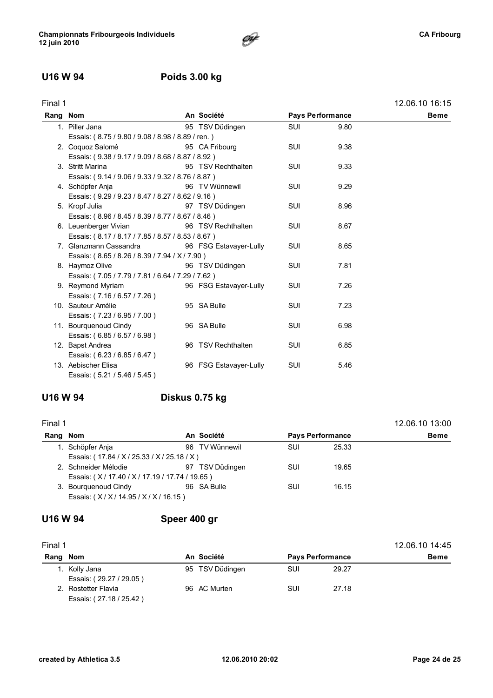### U16 W 94 Poids 3.00 kg

| ı<br>ır<br>ю |  |
|--------------|--|
|              |  |

| Final 1  |                                                   |                        |            |                         | 12.06.10 16:15 |
|----------|---------------------------------------------------|------------------------|------------|-------------------------|----------------|
| Rang Nom |                                                   | An Société             |            | <b>Pays Performance</b> | Beme           |
|          | 1. Piller Jana                                    | 95 TSV Düdingen        | <b>SUI</b> | 9.80                    |                |
|          | Essais: (8.75 / 9.80 / 9.08 / 8.98 / 8.89 / ren.) |                        |            |                         |                |
|          | 2. Coquoz Salomé                                  | 95 CA Fribourg         | <b>SUI</b> | 9.38                    |                |
|          | Essais: (9.38 / 9.17 / 9.09 / 8.68 / 8.87 / 8.92) |                        |            |                         |                |
|          | 3. Stritt Marina                                  | 95 TSV Rechthalten     | <b>SUI</b> | 9.33                    |                |
|          | Essais: (9.14 / 9.06 / 9.33 / 9.32 / 8.76 / 8.87) |                        |            |                         |                |
|          | 4. Schöpfer Anja                                  | 96 TV Wünnewil         | <b>SUI</b> | 9.29                    |                |
|          | Essais: (9.29 / 9.23 / 8.47 / 8.27 / 8.62 / 9.16) |                        |            |                         |                |
|          | 5. Kropf Julia                                    | 97 TSV Düdingen        | SUI        | 8.96                    |                |
|          | Essais: (8.96 / 8.45 / 8.39 / 8.77 / 8.67 / 8.46) |                        |            |                         |                |
|          | 6. Leuenberger Vivian                             | 96 TSV Rechthalten     | <b>SUI</b> | 8.67                    |                |
|          | Essais: (8.17 / 8.17 / 7.85 / 8.57 / 8.53 / 8.67) |                        |            |                         |                |
|          | 7. Glanzmann Cassandra                            | 96 FSG Estavayer-Lully | <b>SUI</b> | 8.65                    |                |
|          | Essais: (8.65/8.26/8.39/7.94/X/7.90)              |                        |            |                         |                |
|          | 8. Haymoz Olive                                   | 96 TSV Düdingen        | <b>SUI</b> | 7.81                    |                |
|          | Essais: (7.05 / 7.79 / 7.81 / 6.64 / 7.29 / 7.62) |                        |            |                         |                |
|          | 9. Reymond Myriam                                 | 96 FSG Estavayer-Lully | <b>SUI</b> | 7.26                    |                |
|          | Essais: (7.16 / 6.57 / 7.26)                      |                        |            |                         |                |
|          | 10. Sauteur Amélie                                | 95 SA Bulle            | <b>SUI</b> | 7.23                    |                |
|          | Essais: (7.23/6.95/7.00)                          |                        |            |                         |                |
|          | 11. Bourquenoud Cindy                             | 96 SA Bulle            | <b>SUI</b> | 6.98                    |                |
|          | Essais: (6.85 / 6.57 / 6.98)                      |                        |            |                         |                |
|          | 12. Bapst Andrea                                  | 96 TSV Rechthalten     | <b>SUI</b> | 6.85                    |                |
|          | Essais: (6.23/6.85/6.47)                          |                        |            |                         |                |
|          | 13. Aebischer Elisa                               | 96 FSG Estavayer-Lully | <b>SUI</b> | 5.46                    |                |
|          | Essais: (5.21 / 5.46 / 5.45)                      |                        |            |                         |                |

### U16 W 94 Diskus 0.75 kg

| Final 1  |                                             | An Société |                 |                         |       | 12.06.10 13:00 |
|----------|---------------------------------------------|------------|-----------------|-------------------------|-------|----------------|
| Rang Nom |                                             |            |                 | <b>Pays Performance</b> |       | <b>Beme</b>    |
|          | 1. Schöpfer Anja                            |            | 96 TV Wünnewil  | SUI                     | 25.33 |                |
|          | Essais: (17.84 / X / 25.33 / X / 25.18 / X) |            |                 |                         |       |                |
|          | 2. Schneider Mélodie                        |            | 97 TSV Düdingen | SUI                     | 19.65 |                |
|          | Essais: (X/17.40/X/17.19/17.74/19.65)       |            |                 |                         |       |                |
|          | 3. Bourguenoud Cindy                        |            | 96 SA Bulle     | SUI                     | 16.15 |                |
|          | Essais: (X/X/14.95/X/X/16.15)               |            |                 |                         |       |                |
|          |                                             |            |                 |                         |       |                |

### U16 W 94 Speer 400 gr

| Final 1 |                                                    |              |                 |     |                         | 12.06.10 14:45 |
|---------|----------------------------------------------------|--------------|-----------------|-----|-------------------------|----------------|
| Rang    | Nom                                                | An Société   |                 |     | <b>Pays Performance</b> | <b>Beme</b>    |
|         | Kolly Jana<br>Essais: (29.27 / 29.05)              |              | 95 TSV Düdingen | SUI | 29.27                   |                |
|         | <b>Rostetter Flavia</b><br>Essais: (27.18 / 25.42) | 96 AC Murten |                 | SUI | 27.18                   |                |